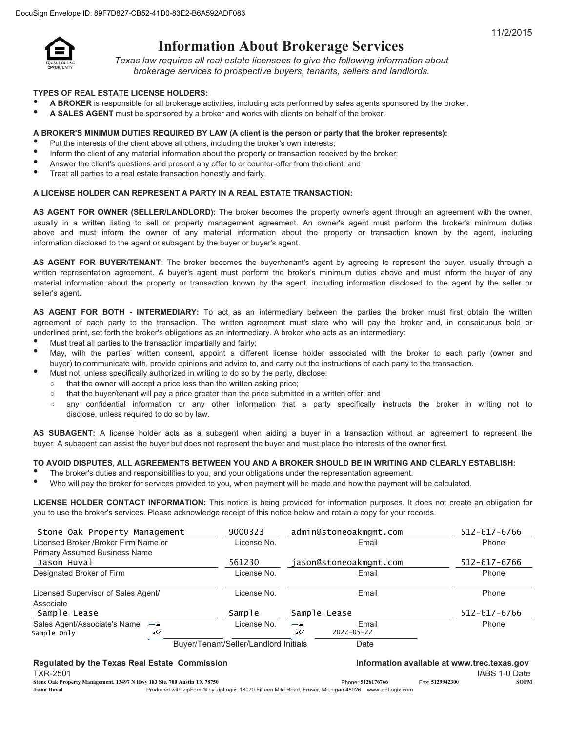

# **Information About Brokerage Services**

Texas law requires all real estate licensees to give the following information about brokerage services to prospective buyers, tenants, sellers and landlords.

#### **TYPES OF REAL ESTATE LICENSE HOLDERS:**

- A BROKER is responsible for all brokerage activities, including acts performed by sales agents sponsored by the broker.
- A SALES AGENT must be sponsored by a broker and works with clients on behalf of the broker.

#### A BROKER'S MINIMUM DUTIES REQUIRED BY LAW (A client is the person or party that the broker represents):

- Put the interests of the client above all others, including the broker's own interests;
- Inform the client of any material information about the property or transaction received by the broker;
- Answer the client's questions and present any offer to or counter-offer from the client; and
- Ċ Treat all parties to a real estate transaction honestly and fairly.

#### A LICENSE HOLDER CAN REPRESENT A PARTY IN A REAL ESTATE TRANSACTION:

AS AGENT FOR OWNER (SELLER/LANDLORD): The broker becomes the property owner's agent through an agreement with the owner. usually in a written listing to sell or property management agreement. An owner's agent must perform the broker's minimum duties above and must inform the owner of any material information about the property or transaction known by the agent, including information disclosed to the agent or subagent by the buyer or buyer's agent.

AS AGENT FOR BUYER/TENANT: The broker becomes the buyer/tenant's agent by agreeing to represent the buyer, usually through a written representation agreement. A buyer's agent must perform the broker's minimum duties above and must inform the buyer of any material information about the property or transaction known by the agent, including information disclosed to the agent by the seller or seller's agent.

AS AGENT FOR BOTH - INTERMEDIARY: To act as an intermediary between the parties the broker must first obtain the written agreement of each party to the transaction. The written agreement must state who will pay the broker and, in conspicuous bold or underlined print, set forth the broker's obligations as an intermediary. A broker who acts as an intermediary:

- Must treat all parties to the transaction impartially and fairly;
- May, with the parties' written consent, appoint a different license holder associated with the broker to each party (owner and buyer) to communicate with, provide opinions and advice to, and carry out the instructions of each party to the transaction.
- Must not, unless specifically authorized in writing to do so by the party, disclose:
	- $\circ$ that the owner will accept a price less than the written asking price;
	- $\circ$ that the buyer/tenant will pay a price greater than the price submitted in a written offer; and
	- $\circ$ any confidential information or any other information that a party specifically instructs the broker in writing not to disclose, unless required to do so by law.

AS SUBAGENT: A license holder acts as a subagent when aiding a buyer in a transaction without an agreement to represent the buyer. A subagent can assist the buyer but does not represent the buyer and must place the interests of the owner first.

#### TO AVOID DISPUTES, ALL AGREEMENTS BETWEEN YOU AND A BROKER SHOULD BE IN WRITING AND CLEARLY ESTABLISH:

- The broker's duties and responsibilities to you, and your obligations under the representation agreement.
- $\bullet$ Who will pay the broker for services provided to you, when payment will be made and how the payment will be calculated.

LICENSE HOLDER CONTACT INFORMATION: This notice is being provided for information purposes. It does not create an obligation for you to use the broker's services. Please acknowledge receipt of this notice below and retain a copy for your records.

| Stone Oak Property Management             | 9000323                               | admin@stoneoakmgmt.com  | 512-617-6766 |
|-------------------------------------------|---------------------------------------|-------------------------|--------------|
| Licensed Broker /Broker Firm Name or      | License No.                           | Email                   | Phone        |
| Primary Assumed Business Name             |                                       |                         |              |
| Jason Huval                               | 561230                                | jason@stoneoakmgmt.com  | 512-617-6766 |
| Designated Broker of Firm                 | License No.                           | Email                   | Phone        |
| Licensed Supervisor of Sales Agent/       | License No.                           | Email                   | Phone        |
| Associate                                 |                                       |                         |              |
| Sample Lease                              | Sample                                | Sample Lease            | 512-617-6766 |
| Sales Agent/Associate's Name<br>$-\theta$ | License No.                           | Email<br>$-08$          | Phone        |
| so<br>Sample Only                         |                                       | SO.<br>$2022 - 05 - 22$ |              |
|                                           | Buyer/Tenant/Seller/Landlord Initials | Date                    |              |
|                                           |                                       |                         |              |

| <b>Regulated by the Texas Real Estate Commission</b>                    |                                                                                                     | Information available at www.trec.texas.gov |                 |               |
|-------------------------------------------------------------------------|-----------------------------------------------------------------------------------------------------|---------------------------------------------|-----------------|---------------|
| <b>TXR-2501</b>                                                         |                                                                                                     |                                             |                 | IABS 1-0 Date |
| Stone Oak Property Management, 13497 N Hwy 183 Ste. 700 Austin TX 78750 |                                                                                                     | Phone: 5126176766                           | Fax: 5129942300 | <b>SOPM</b>   |
| <b>Jason Huval</b>                                                      | Produced with zipForm® by zipLogix 18070 Fifteen Mile Road, Fraser, Michigan 48026 www.zipLogix.com |                                             |                 |               |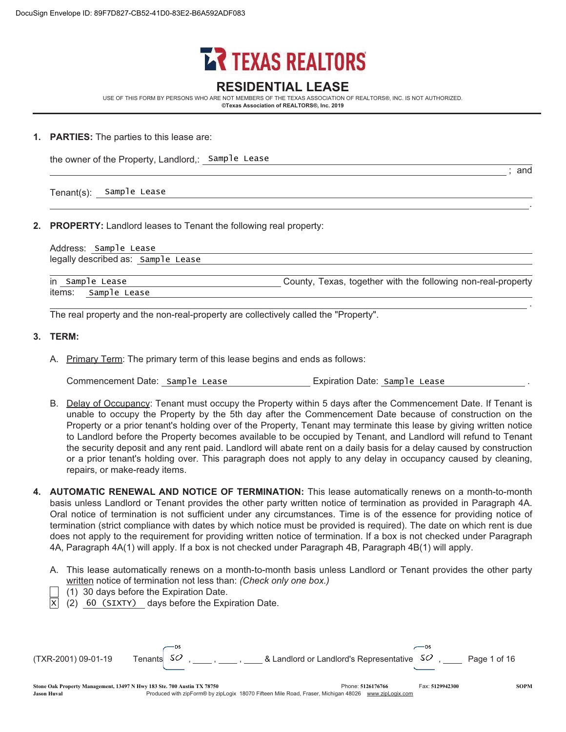

# **RESIDENTIAL LEASE**

USE OF THIS FORM BY PERSONS WHO ARE NOT MEMBERS OF THE TEXAS ASSOCIATION OF REALTORS®, INC. IS NOT AUTHORIZED.

©Texas Association of REALTORS®, Inc. 2019

1. PARTIES: The parties to this lease are:

the owner of the Property, Landlord.: Sample Lease

Tenant(s): Sample Lease

#### **PROPERTY:** Landlord leases to Tenant the following real property:  $\mathbf{p}$

Address: Sample Lease legally described as: Sample Lease

in Sample Lease County, Texas, together with the following non-real-property items: Sample Lease

The real property and the non-real-property are collectively called the "Property".

#### $3<sub>1</sub>$ **TERM:**

A. Primary Term: The primary term of this lease begins and ends as follows:

Commencement Date: Sample Lease Expiration Date: Sample Lease

- B. Delay of Occupancy: Tenant must occupy the Property within 5 days after the Commencement Date. If Tenant is unable to occupy the Property by the 5th day after the Commencement Date because of construction on the Property or a prior tenant's holding over of the Property, Tenant may terminate this lease by giving written notice to Landlord before the Property becomes available to be occupied by Tenant, and Landlord will refund to Tenant the security deposit and any rent paid. Landlord will abate rent on a daily basis for a delay caused by construction or a prior tenant's holding over. This paragraph does not apply to any delay in occupancy caused by cleaning, repairs, or make-ready items.
- 4. AUTOMATIC RENEWAL AND NOTICE OF TERMINATION: This lease automatically renews on a month-to-month basis unless Landlord or Tenant provides the other party written notice of termination as provided in Paragraph 4A. Oral notice of termination is not sufficient under any circumstances. Time is of the essence for providing notice of termination (strict compliance with dates by which notice must be provided is required). The date on which rent is due does not apply to the requirement for providing written notice of termination. If a box is not checked under Paragraph 4A, Paragraph 4A(1) will apply. If a box is not checked under Paragraph 4B, Paragraph 4B(1) will apply.
	- A. This lease automatically renews on a month-to-month basis unless Landlord or Tenant provides the other party written notice of termination not less than: (Check only one box.)
	- (1) 30 days before the Expiration Date.
	- $|x|$ (2) 60 (SIXTY) days before the Expiration Date.

| (TXR-2001) 09-01-19                                                     | Tenants $SO$ | & Landlord or Landlord's Representative $SO$ , |                 | Page 1 of 16 |
|-------------------------------------------------------------------------|--------------|------------------------------------------------|-----------------|--------------|
| Stone Oak Property Management, 13497 N Hwy 183 Ste, 700 Austin TX 78750 |              | Phone: 5126176766                              | Fax: 5129942300 | SOI          |

and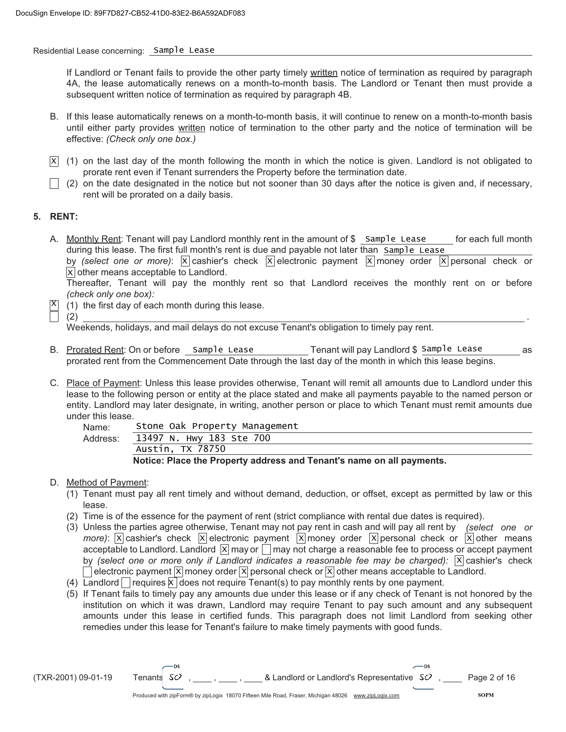If Landlord or Tenant fails to provide the other party timely written notice of termination as required by paragraph 4A, the lease automatically renews on a month-to-month basis. The Landlord or Tenant then must provide a subsequent written notice of termination as required by paragraph 4B.

- B. If this lease automatically renews on a month-to-month basis, it will continue to renew on a month-to-month basis until either party provides written notice of termination to the other party and the notice of termination will be effective: (Check only one box.)
- $|x|$  (1) on the last day of the month following the month in which the notice is given. Landlord is not obligated to prorate rent even if Tenant surrenders the Property before the termination date.
- (2) on the date designated in the notice but not sooner than 30 days after the notice is given and, if necessary, rent will be prorated on a daily basis.

#### **RENT:** 5.

A. Monthly Rent: Tenant will pay Landlord monthly rent in the amount of \$ sample Lease \_\_\_ for each full month during this lease. The first full month's rent is due and payable not later than Sample Lease

by (select one or more):  $\overline{X}$  cashier's check  $\overline{X}$  electronic payment  $\overline{X}$  money order  $\overline{X}$  personal check or  $\overline{X}$  other means acceptable to Landlord.

Thereafter, Tenant will pay the monthly rent so that Landlord receives the monthly rent on or before (check only one box):

(1) the first day of each month during this lease.

 $(2)$ 

Weekends, holidays, and mail delays do not excuse Tenant's obligation to timely pay rent.

- B. Prorated Rent: On or before Sample Lease Tenant will pay Landlord \$ Sample Lease as prorated rent from the Commencement Date through the last day of the month in which this lease begins.
- C. Place of Payment: Unless this lease provides otherwise. Tenant will remit all amounts due to Landlord under this lease to the following person or entity at the place stated and make all payments payable to the named person or entity. Landlord may later designate, in writing, another person or place to which Tenant must remit amounts due under this lease.

| Name: |  | Stone Oak Property |
|-------|--|--------------------|
|       |  |                    |

| Address: 13497 N. Hwy 183 Ste 700 |                  |  |  |  |
|-----------------------------------|------------------|--|--|--|
|                                   | Austin, TX 78750 |  |  |  |

ne

Notice: Place the Property address and Tenant's name on all payments.

## D. Method of Payment:

- (1) Tenant must pay all rent timely and without demand, deduction, or offset, except as permitted by law or this lease.
- (2) Time is of the essence for the payment of rent (strict compliance with rental due dates is required).

Management

- (3) Unless the parties agree otherwise, Tenant may not pay rent in cash and will pay all rent by (select one or more):  $\overline{X}$  cashier's check  $\overline{X}$  electronic payment  $\overline{X}$  money order  $\overline{X}$  personal check or  $\overline{X}$  other means acceptable to Landlord. Landlord  $\boxed{X}$  may or  $\boxed{\phantom{X}}$  may not charge a reasonable fee to process or accept payment by (select one or more only if Landlord indicates a reasonable fee may be charged):  $\overline{X}$  cashier's check  $\Box$  electronic payment  $\boxed{x}$  money order  $\boxed{x}$  personal check or  $\boxed{x}$  other means acceptable to Landlord.
- (4) Landlord requires  $\overline{X}$  does not require Tenant(s) to pay monthly rents by one payment.
- (5) If Tenant fails to timely pay any amounts due under this lease or if any check of Tenant is not honored by the institution on which it was drawn, Landlord may require Tenant to pay such amount and any subsequent amounts under this lease in certified funds. This paragraph does not limit Landlord from seeking other remedies under this lease for Tenant's failure to make timely payments with good funds.

(TXR-2001) 09-01-19

& Landlord or Landlord's Representative  $SO$ Tenants  $SO$ Page 2 of 16

-ne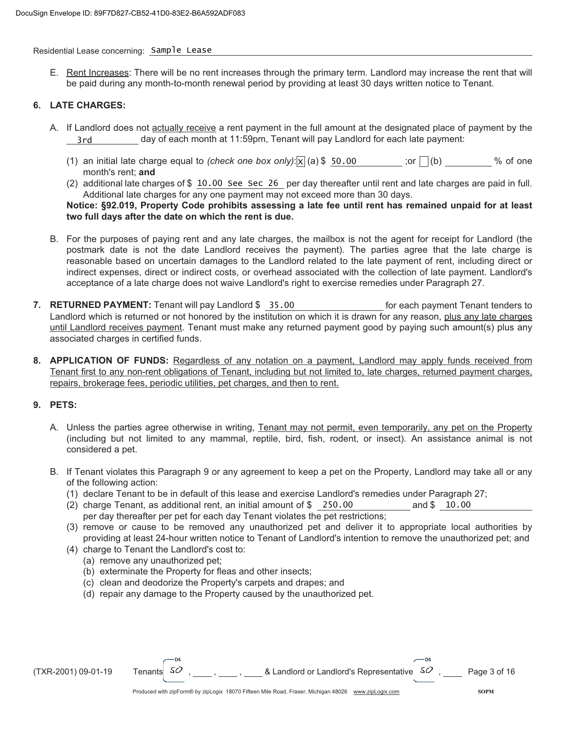E. Rent Increases: There will be no rent increases through the primary term. Landlord may increase the rent that will be paid during any month-to-month renewal period by providing at least 30 days written notice to Tenant.

## 6. LATE CHARGES:

- A. If Landlord does not actually receive a rent payment in the full amount at the designated place of payment by the day of each month at 11:59pm, Tenant will pay Landlord for each late payment: 3rd
	- (1) an initial late charge equal to (check one box only): $\overline{x}$  (a) \$ 50.00 (or  $\Box$  (b) % of one month's rent: and
	- (2) additional late charges of \$ 10.00 See Sec 26 per day thereafter until rent and late charges are paid in full. Additional late charges for any one payment may not exceed more than 30 days.

## Notice: §92.019, Property Code prohibits assessing a late fee until rent has remained unpaid for at least two full days after the date on which the rent is due.

- B. For the purposes of paying rent and any late charges, the mailbox is not the agent for receipt for Landlord (the postmark date is not the date Landlord receives the payment). The parties agree that the late charge is reasonable based on uncertain damages to the Landlord related to the late payment of rent, including direct or indirect expenses, direct or indirect costs, or overhead associated with the collection of late payment. Landlord's acceptance of a late charge does not waive Landlord's right to exercise remedies under Paragraph 27.
- 7. RETURNED PAYMENT: Tenant will pay Landlord \$35.00 for each payment Tenant tenders to Landlord which is returned or not honored by the institution on which it is drawn for any reason, plus any late charges until Landlord receives payment. Tenant must make any returned payment good by paying such amount(s) plus any associated charges in certified funds.
- 8. APPLICATION OF FUNDS: Regardless of any notation on a payment, Landlord may apply funds received from Tenant first to any non-rent obligations of Tenant, including but not limited to, late charges, returned payment charges, repairs, brokerage fees, periodic utilities, pet charges, and then to rent.

## 9. PETS:

- A. Unless the parties agree otherwise in writing, Tenant may not permit, even temporarily, any pet on the Property (including but not limited to any mammal, reptile, bird, fish, rodent, or insect). An assistance animal is not considered a pet.
- B. If Tenant violates this Paragraph 9 or any agreement to keep a pet on the Property, Landlord may take all or any of the following action:
	- (1) declare Tenant to be in default of this lease and exercise Landlord's remedies under Paragraph 27;
	- (2) charge Tenant, as additional rent, an initial amount of  $$250.00$ and \$ 10.00 per day thereafter per pet for each day Tenant violates the pet restrictions;
	- (3) remove or cause to be removed any unauthorized pet and deliver it to appropriate local authorities by providing at least 24-hour written notice to Tenant of Landlord's intention to remove the unauthorized pet; and
	- (4) charge to Tenant the Landlord's cost to:

-ns

- (a) remove any unauthorized pet;
- (b) exterminate the Property for fleas and other insects;
- (c) clean and deodorize the Property's carpets and drapes; and
- (d) repair any damage to the Property caused by the unauthorized pet.

(TXR-2001) 09-01-19

Tenants  $SO$ , , , , , & Landlord or Landlord's Representative  $SO$ , Page 3 of 16

 $-0s$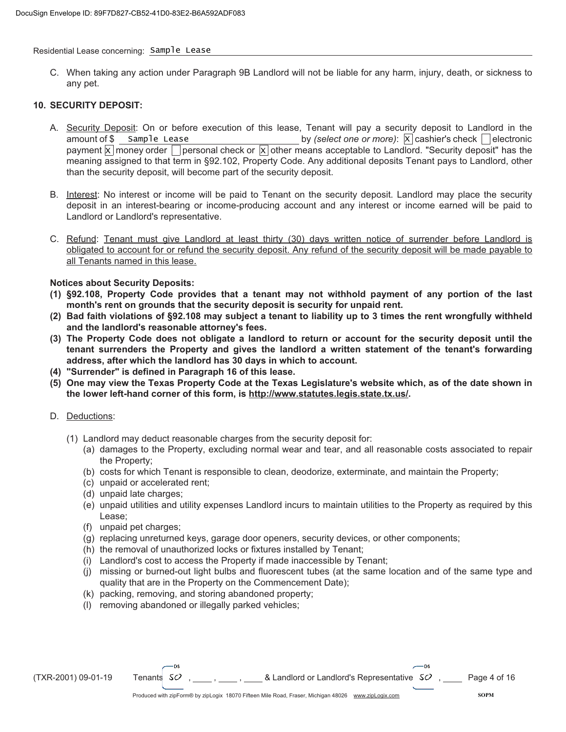C. When taking any action under Paragraph 9B Landlord will not be liable for any harm, injury, death, or sickness to any pet.

## 10. SECURITY DEPOSIT:

- A. Security Deposit: On or before execution of this lease, Tenant will pay a security deposit to Landlord in the by (select one or more):  $\vert X \vert$  cashier's check electronic  $amount of $$  Sample Lease payment  $\overline{x}$  money order personal check or  $\overline{x}$  other means acceptable to Landlord. "Security deposit" has the meaning assigned to that term in §92.102, Property Code. Any additional deposits Tenant pays to Landlord, other than the security deposit, will become part of the security deposit.
- B. Interest: No interest or income will be paid to Tenant on the security deposit. Landlord may place the security deposit in an interest-bearing or income-producing account and any interest or income earned will be paid to Landlord or Landlord's representative.
- C. Refund: Tenant must give Landlord at least thirty (30) days written notice of surrender before Landlord is obligated to account for or refund the security deposit. Any refund of the security deposit will be made payable to all Tenants named in this lease.

## **Notices about Security Deposits:**

- (1) §92.108, Property Code provides that a tenant may not withhold payment of any portion of the last month's rent on grounds that the security deposit is security for unpaid rent.
- (2) Bad faith violations of §92.108 may subject a tenant to liability up to 3 times the rent wrongfully withheld and the landlord's reasonable attorney's fees.
- (3) The Property Code does not obligate a landlord to return or account for the security deposit until the tenant surrenders the Property and gives the landlord a written statement of the tenant's forwarding address, after which the landlord has 30 days in which to account.
- (4) "Surrender" is defined in Paragraph 16 of this lease.
- (5) One may view the Texas Property Code at the Texas Legislature's website which, as of the date shown in the lower left-hand corner of this form, is http://www.statutes.legis.state.tx.us/.
- D. Deductions:
	- (1) Landlord may deduct reasonable charges from the security deposit for:
		- (a) damages to the Property, excluding normal wear and tear, and all reasonable costs associated to repair the Property:
		- (b) costs for which Tenant is responsible to clean, deodorize, exterminate, and maintain the Property;
		- (c) unpaid or accelerated rent;
		- (d) unpaid late charges;
		- (e) unpaid utilities and utility expenses Landlord incurs to maintain utilities to the Property as required by this Lease:
		- (f) unpaid pet charges;
		- (g) replacing unreturned keys, garage door openers, security devices, or other components;
		- (h) the removal of unauthorized locks or fixtures installed by Tenant;
		- (i) Landlord's cost to access the Property if made inaccessible by Tenant;
		- (j) missing or burned-out light bulbs and fluorescent tubes (at the same location and of the same type and quality that are in the Property on the Commencement Date);
		- (k) packing, removing, and storing abandoned property;
		- (I) removing abandoned or illegally parked vehicles;

ne

Tenants  $SO$ 

& Landlord or Landlord's Representative SO

ns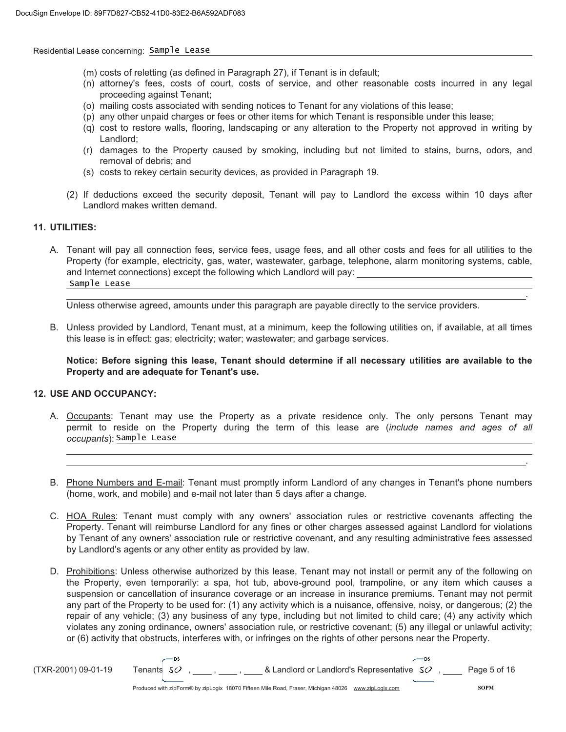- (m) costs of reletting (as defined in Paragraph 27), if Tenant is in default;
- (n) attorney's fees, costs of court, costs of service, and other reasonable costs incurred in any legal proceeding against Tenant;
- (o) mailing costs associated with sending notices to Tenant for any violations of this lease;
- (p) any other unpaid charges or fees or other items for which Tenant is responsible under this lease;
- (q) cost to restore walls, flooring, landscaping or any alteration to the Property not approved in writing by Landlord:
- (r) damages to the Property caused by smoking, including but not limited to stains, burns, odors, and removal of debris: and
- (s) costs to rekey certain security devices, as provided in Paragraph 19.
- (2) If deductions exceed the security deposit, Tenant will pay to Landlord the excess within 10 days after Landlord makes written demand.

## 11. UTILITIES:

A. Tenant will pay all connection fees, service fees, usage fees, and all other costs and fees for all utilities to the Property (for example, electricity, gas, water, wastewater, garbage, telephone, alarm monitoring systems, cable, and Internet connections) except the following which Landlord will pay: Sample Lease

Unless otherwise agreed, amounts under this paragraph are payable directly to the service providers.

B. Unless provided by Landlord, Tenant must, at a minimum, keep the following utilities on, if available, at all times this lease is in effect: gas; electricity; water; wastewater; and garbage services.

Notice: Before signing this lease, Tenant should determine if all necessary utilities are available to the Property and are adequate for Tenant's use.

## **12. USE AND OCCUPANCY:**

- A. Occupants: Tenant may use the Property as a private residence only. The only persons Tenant may permit to reside on the Property during the term of this lease are (include names and ages of all occupants): Sample Lease
- B. Phone Numbers and E-mail: Tenant must promptly inform Landlord of any changes in Tenant's phone numbers (home, work, and mobile) and e-mail not later than 5 days after a change.
- C. HOA Rules: Tenant must comply with any owners' association rules or restrictive covenants affecting the Property. Tenant will reimburse Landlord for any fines or other charges assessed against Landlord for violations by Tenant of any owners' association rule or restrictive covenant, and any resulting administrative fees assessed by Landlord's agents or any other entity as provided by law.
- D. Prohibitions: Unless otherwise authorized by this lease, Tenant may not install or permit any of the following on the Property, even temporarily: a spa, hot tub, above-ground pool, trampoline, or any item which causes a suspension or cancellation of insurance coverage or an increase in insurance premiums. Tenant may not permit any part of the Property to be used for: (1) any activity which is a nuisance, offensive, noisy, or dangerous; (2) the repair of any vehicle; (3) any business of any type, including but not limited to child care; (4) any activity which violates any zoning ordinance, owners' association rule, or restrictive covenant; (5) any illegal or unlawful activity; or (6) activity that obstructs, interferes with, or infringes on the rights of other persons near the Property.

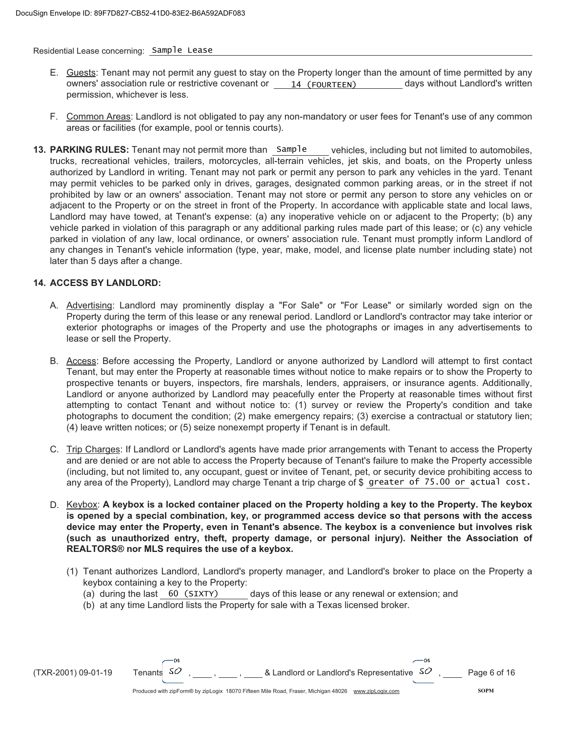- E. Guests: Tenant may not permit any guest to stay on the Property longer than the amount of time permitted by any owners' association rule or restrictive covenant or <br>14 (FOURTEEN) days without Landlord's written permission, whichever is less.
- F. Common Areas: Landlord is not obligated to pay any non-mandatory or user fees for Tenant's use of any common areas or facilities (for example, pool or tennis courts).
- 13. PARKING RULES: Tenant may not permit more than Sample vehicles, including but not limited to automobiles, trucks, recreational vehicles, trailers, motorcycles, all-terrain vehicles, jet skis, and boats, on the Property unless authorized by Landlord in writing. Tenant may not park or permit any person to park any vehicles in the yard. Tenant may permit vehicles to be parked only in drives, garages, designated common parking areas, or in the street if not prohibited by law or an owners' association. Tenant may not store or permit any person to store any vehicles on or adjacent to the Property or on the street in front of the Property. In accordance with applicable state and local laws, Landlord may have towed, at Tenant's expense: (a) any inoperative vehicle on or adjacent to the Property; (b) any vehicle parked in violation of this paragraph or any additional parking rules made part of this lease; or (c) any vehicle parked in violation of any law, local ordinance, or owners' association rule. Tenant must promptly inform Landlord of any changes in Tenant's vehicle information (type, year, make, model, and license plate number including state) not later than 5 days after a change.

## **14. ACCESS BY LANDLORD:**

- A. Advertising: Landlord may prominently display a "For Sale" or "For Lease" or similarly worded sign on the Property during the term of this lease or any renewal period. Landlord or Landlord's contractor may take interior or exterior photographs or images of the Property and use the photographs or images in any advertisements to lease or sell the Property.
- B. Access: Before accessing the Property, Landlord or anyone authorized by Landlord will attempt to first contact Tenant, but may enter the Property at reasonable times without notice to make repairs or to show the Property to prospective tenants or buvers, inspectors, fire marshals, lenders, appraisers, or insurance agents, Additionally, Landlord or anyone authorized by Landlord may peacefully enter the Property at reasonable times without first attempting to contact Tenant and without notice to: (1) survey or review the Property's condition and take photographs to document the condition; (2) make emergency repairs; (3) exercise a contractual or statutory lien; (4) leave written notices; or (5) seize nonexempt property if Tenant is in default.
- C. Trip Charges: If Landlord or Landlord's agents have made prior arrangements with Tenant to access the Property and are denied or are not able to access the Property because of Tenant's failure to make the Property accessible (including, but not limited to, any occupant, quest or invitee of Tenant, pet, or security device prohibiting access to any area of the Property), Landlord may charge Tenant a trip charge of \$ greater of 75.00 or actual cost.
- D. Keybox: A keybox is a locked container placed on the Property holding a key to the Property. The keybox is opened by a special combination, key, or programmed access device so that persons with the access device may enter the Property, even in Tenant's absence. The keybox is a convenience but involves risk (such as unauthorized entry, theft, property damage, or personal injury). Neither the Association of REALTORS® nor MLS requires the use of a keybox.
	- (1) Tenant authorizes Landlord, Landlord's property manager, and Landlord's broker to place on the Property a keybox containing a key to the Property:
		- (a) during the last 60 (SIXTY) days of this lease or any renewal or extension; and
		- (b) at any time Landlord lists the Property for sale with a Texas licensed broker.

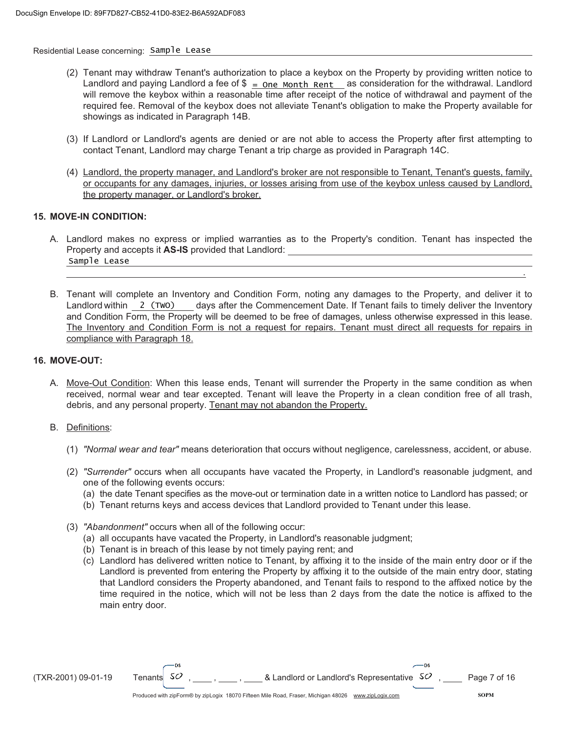- (2) Tenant may withdraw Tenant's authorization to place a keybox on the Property by providing written notice to Landlord and paying Landlord a fee of  $$ = one month$  Rent as consideration for the withdrawal. Landlord will remove the keybox within a reasonable time after receipt of the notice of withdrawal and payment of the required fee. Removal of the keybox does not alleviate Tenant's obligation to make the Property available for showings as indicated in Paragraph 14B.
- (3) If Landlord or Landlord's agents are denied or are not able to access the Property after first attempting to contact Tenant, Landlord may charge Tenant a trip charge as provided in Paragraph 14C.
- (4) Landlord, the property manager, and Landlord's broker are not responsible to Tenant, Tenant's guests, family, or occupants for any damages, injuries, or losses arising from use of the keybox unless caused by Landlord, the property manager, or Landlord's broker.

## **15. MOVE-IN CONDITION:**

- A. Landlord makes no express or implied warranties as to the Property's condition. Tenant has inspected the Property and accepts it AS-IS provided that Landlord: Sample Lease
- B. Tenant will complete an Inventory and Condition Form, noting any damages to the Property, and deliver it to Landlord within 2 (TWO) days after the Commencement Date. If Tenant fails to timely deliver the Inventory and Condition Form, the Property will be deemed to be free of damages, unless otherwise expressed in this lease. The Inventory and Condition Form is not a request for repairs. Tenant must direct all requests for repairs in compliance with Paragraph 18.

## **16. MOVE-OUT:**

- A. Move-Out Condition: When this lease ends. Tenant will surrender the Property in the same condition as when received, normal wear and tear excepted. Tenant will leave the Property in a clean condition free of all trash, debris, and any personal property. Tenant may not abandon the Property.
- B. Definitions:
	- (1) "Normal wear and tear" means deterioration that occurs without negligence, carelessness, accident, or abuse.
	- (2) "Surrender" occurs when all occupants have vacated the Property, in Landlord's reasonable judgment, and one of the following events occurs:
		- (a) the date Tenant specifies as the move-out or termination date in a written notice to Landlord has passed; or
		- (b) Tenant returns keys and access devices that Landlord provided to Tenant under this lease.
	- (3) "Abandonment" occurs when all of the following occur:

-ns

- (a) all occupants have vacated the Property, in Landlord's reasonable judgment;
- (b) Tenant is in breach of this lease by not timely paying rent; and
- (c) Landlord has delivered written notice to Tenant, by affixing it to the inside of the main entry door or if the Landlord is prevented from entering the Property by affixing it to the outside of the main entry door, stating that Landlord considers the Property abandoned, and Tenant fails to respond to the affixed notice by the time required in the notice, which will not be less than 2 days from the date the notice is affixed to the main entry door.

Page 7 of 16

-ns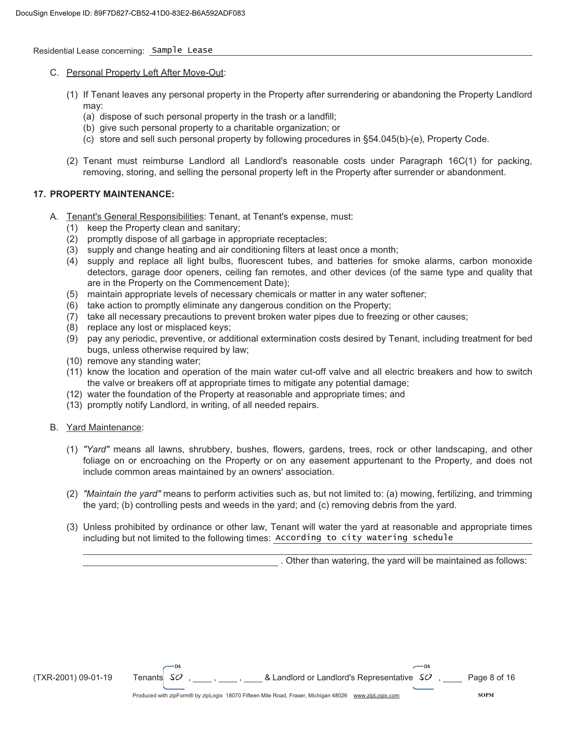- C. Personal Property Left After Move-Out:
	- (1) If Tenant leaves any personal property in the Property after surrendering or abandoning the Property Landlord may:
		- (a) dispose of such personal property in the trash or a landfill;
		- (b) give such personal property to a charitable organization; or
		- (c) store and sell such personal property by following procedures in §54.045(b)-(e), Property Code.
	- (2) Tenant must reimburse Landlord all Landlord's reasonable costs under Paragraph 16C(1) for packing, removing, storing, and selling the personal property left in the Property after surrender or abandonment.

## **17. PROPERTY MAINTENANCE:**

- A. Tenant's General Responsibilities: Tenant, at Tenant's expense, must:
	- (1) keep the Property clean and sanitary;
	- (2) promptly dispose of all garbage in appropriate receptacles;
	- (3) supply and change heating and air conditioning filters at least once a month;
	- (4) supply and replace all light bulbs, fluorescent tubes, and batteries for smoke alarms, carbon monoxide detectors, garage door openers, ceiling fan remotes, and other devices (of the same type and quality that are in the Property on the Commencement Date);
	- (5) maintain appropriate levels of necessary chemicals or matter in any water softener;
	- (6) take action to promptly eliminate any dangerous condition on the Property;
	- (7) take all necessary precautions to prevent broken water pipes due to freezing or other causes;
	- (8) replace any lost or misplaced keys:
	- (9) pay any periodic, preventive, or additional extermination costs desired by Tenant, including treatment for bed bugs, unless otherwise required by law;
	- (10) remove any standing water;
	- (11) know the location and operation of the main water cut-off valve and all electric breakers and how to switch the valve or breakers off at appropriate times to mitigate any potential damage:
	- (12) water the foundation of the Property at reasonable and appropriate times; and
	- (13) promptly notify Landlord, in writing, of all needed repairs.

ns.

Tenants  $SO$ 

- B. Yard Maintenance:
	- (1) "Yard" means all lawns, shrubbery, bushes, flowers, gardens, trees, rock or other landscaping, and other foliage on or encroaching on the Property or on any easement appurtenant to the Property, and does not include common areas maintained by an owners' association.
	- (2) "Maintain the yard" means to perform activities such as, but not limited to: (a) mowing, fertilizing, and trimming the yard; (b) controlling pests and weeds in the yard; and (c) removing debris from the yard.
	- (3) Unless prohibited by ordinance or other law, Tenant will water the yard at reasonable and appropriate times including but not limited to the following times: According to city watering schedule

. Other than watering, the yard will be maintained as follows:

& Landlord or Landlord's Representative  $SO$ .

.<br>DR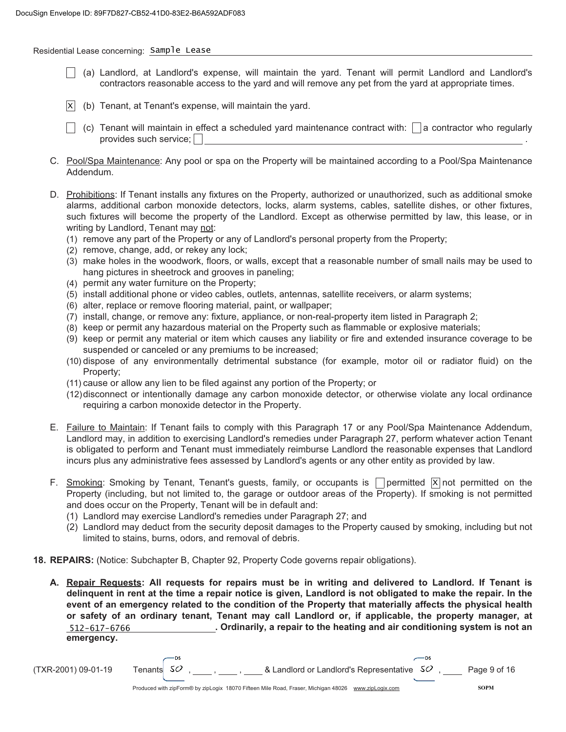- (a) Landlord, at Landlord's expense, will maintain the yard. Tenant will permit Landlord and Landlord's contractors reasonable access to the yard and will remove any pet from the yard at appropriate times.
- $\overline{X}$  (b) Tenant, at Tenant's expense, will maintain the yard.
- $\Box$  (c) Tenant will maintain in effect a scheduled yard maintenance contract with:  $\Box$  a contractor who regularly provides such service:  $\Box$
- C. Pool/Spa Maintenance: Any pool or spa on the Property will be maintained according to a Pool/Spa Maintenance Addendum.
- D. Prohibitions: If Tenant installs any fixtures on the Property, authorized or unauthorized, such as additional smoke alarms, additional carbon monoxide detectors, locks, alarm systems, cables, satellite dishes, or other fixtures, such fixtures will become the property of the Landlord. Except as otherwise permitted by law, this lease, or in writing by Landlord, Tenant may not:
	- (1) remove any part of the Property or any of Landlord's personal property from the Property;
	- (2) remove, change, add, or rekey any lock;
	- (3) make holes in the woodwork, floors, or walls, except that a reasonable number of small nails may be used to hang pictures in sheetrock and grooves in paneling;
	- (4) permit any water furniture on the Property;
	- (5) install additional phone or video cables, outlets, antennas, satellite receivers, or alarm systems;
	- (6) alter, replace or remove flooring material, paint, or wallpaper;
	- (7) install, change, or remove any: fixture, appliance, or non-real-property item listed in Paragraph 2;
	- (8) keep or permit any hazardous material on the Property such as flammable or explosive materials;
	- (9) keep or permit any material or item which causes any liability or fire and extended insurance coverage to be suspended or canceled or any premiums to be increased;
	- (10) dispose of any environmentally detrimental substance (for example, motor oil or radiator fluid) on the Property;
	- (11) cause or allow any lien to be filed against any portion of the Property; or
	- (12) disconnect or intentionally damage any carbon monoxide detector, or otherwise violate any local ordinance requiring a carbon monoxide detector in the Property.
- E. Failure to Maintain: If Tenant fails to comply with this Paragraph 17 or any Pool/Spa Maintenance Addendum, Landlord may, in addition to exercising Landlord's remedies under Paragraph 27, perform whatever action Tenant is obligated to perform and Tenant must immediately reimburse Landlord the reasonable expenses that Landlord incurs plus any administrative fees assessed by Landlord's agents or any other entity as provided by law.
- F. Smoking: Smoking by Tenant, Tenant's guests, family, or occupants is  $\Box$  permitted  $\overline{X}$  not permitted on the Property (including, but not limited to, the garage or outdoor areas of the Property). If smoking is not permitted and does occur on the Property, Tenant will be in default and:
	- (1) Landlord may exercise Landlord's remedies under Paragraph 27; and
	- (2) Landlord may deduct from the security deposit damages to the Property caused by smoking, including but not limited to stains, burns, odors, and removal of debris.
- 18. REPAIRS: (Notice: Subchapter B, Chapter 92, Property Code governs repair obligations).
	- A. Repair Requests: All requests for repairs must be in writing and delivered to Landlord. If Tenant is delinquent in rent at the time a repair notice is given, Landlord is not obligated to make the repair. In the event of an emergency related to the condition of the Property that materially affects the physical health or safety of an ordinary tenant, Tenant may call Landlord or, if applicable, the property manager, at 512-617-6766 . Ordinarily, a repair to the heating and air conditioning system is not an emergency.



**SOPM**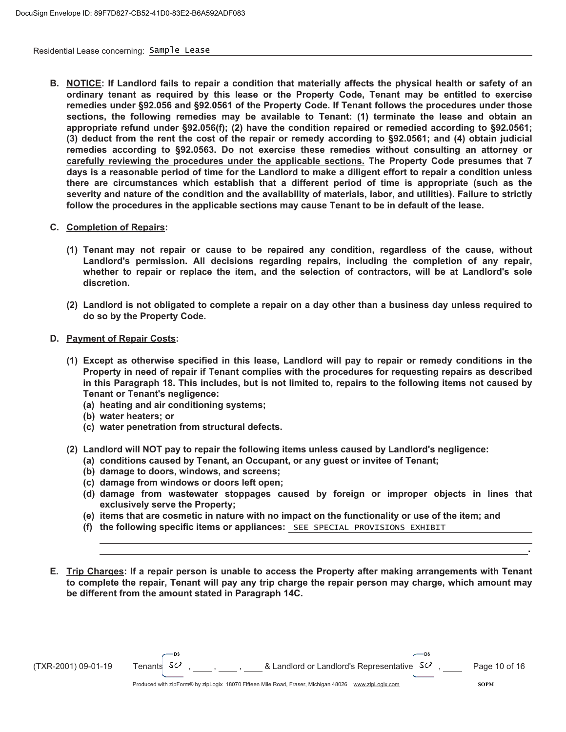- B. NOTICE: If Landlord fails to repair a condition that materially affects the physical health or safety of an ordinary tenant as required by this lease or the Property Code, Tenant may be entitled to exercise remedies under §92.056 and §92.0561 of the Property Code. If Tenant follows the procedures under those sections, the following remedies may be available to Tenant: (1) terminate the lease and obtain an appropriate refund under §92.056(f); (2) have the condition repaired or remedied according to §92.0561; (3) deduct from the rent the cost of the repair or remedy according to §92.0561; and (4) obtain judicial remedies according to §92.0563. Do not exercise these remedies without consulting an attorney or carefully reviewing the procedures under the applicable sections. The Property Code presumes that 7 days is a reasonable period of time for the Landlord to make a diligent effort to repair a condition unless there are circumstances which establish that a different period of time is appropriate (such as the severity and nature of the condition and the availability of materials, labor, and utilities). Failure to strictly follow the procedures in the applicable sections may cause Tenant to be in default of the lease.
- C. Completion of Repairs:
	- (1) Tenant may not repair or cause to be repaired any condition, regardless of the cause, without Landlord's permission. All decisions regarding repairs, including the completion of any repair, whether to repair or replace the item, and the selection of contractors, will be at Landlord's sole discretion.
	- (2) Landlord is not obligated to complete a repair on a day other than a business day unless required to do so by the Property Code.
- D. Payment of Repair Costs:
	- (1) Except as otherwise specified in this lease, Landlord will pay to repair or remedy conditions in the Property in need of repair if Tenant complies with the procedures for requesting repairs as described in this Paragraph 18. This includes, but is not limited to, repairs to the following items not caused by **Tenant or Tenant's negligence:** 
		- (a) heating and air conditioning systems;
		- (b) water heaters; or
		- (c) water penetration from structural defects.
	- (2) Landlord will NOT pay to repair the following items unless caused by Landlord's negligence:
		- (a) conditions caused by Tenant, an Occupant, or any guest or invitee of Tenant;
		- (b) damage to doors, windows, and screens;
		- (c) damage from windows or doors left open;

-ns

- (d) damage from wastewater stoppages caused by foreign or improper objects in lines that exclusively serve the Property:
- (e) items that are cosmetic in nature with no impact on the functionality or use of the item; and
- (f) the following specific items or appliances: SEE SPECIAL PROVISIONS EXHIBIT
- E. Trip Charges: If a repair person is unable to access the Property after making arrangements with Tenant to complete the repair, Tenant will pay any trip charge the repair person may charge, which amount may be different from the amount stated in Paragraph 14C.

|                                 |                                         | --- |               |
|---------------------------------|-----------------------------------------|-----|---------------|
| (TXR-2001) 09-01-19<br>, enants | & Landlord or Landlord's Representative |     | Page 10 of 16 |

-ns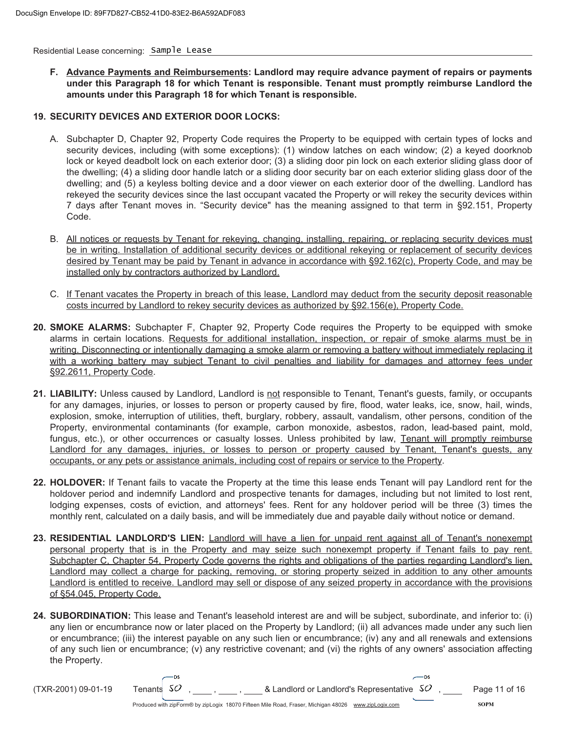F. Advance Payments and Reimbursements: Landlord may require advance payment of repairs or payments under this Paragraph 18 for which Tenant is responsible. Tenant must promptly reimburse Landlord the amounts under this Paragraph 18 for which Tenant is responsible.

## **19. SECURITY DEVICES AND EXTERIOR DOOR LOCKS:**

- A. Subchapter D. Chapter 92. Property Code requires the Property to be equipped with certain types of locks and security devices, including (with some exceptions): (1) window latches on each window; (2) a keyed doorknob lock or keyed deadbolt lock on each exterior door; (3) a sliding door pin lock on each exterior sliding glass door of the dwelling; (4) a sliding door handle latch or a sliding door security bar on each exterior sliding glass door of the dwelling; and (5) a keyless bolting device and a door viewer on each exterior door of the dwelling. Landlord has rekeyed the security devices since the last occupant vacated the Property or will rekey the security devices within 7 days after Tenant moves in. "Security device" has the meaning assigned to that term in §92.151, Property Code.
- B. All notices or requests by Tenant for rekeying, changing, installing, repairing, or replacing security devices must be in writing. Installation of additional security devices or additional rekeying or replacement of security devices desired by Tenant may be paid by Tenant in advance in accordance with §92.162(c). Property Code, and may be installed only by contractors authorized by Landlord.
- C. If Tenant vacates the Property in breach of this lease, Landlord may deduct from the security deposit reasonable costs incurred by Landlord to rekey security devices as authorized by §92.156(e), Property Code.
- 20. SMOKE ALARMS: Subchapter F, Chapter 92, Property Code requires the Property to be equipped with smoke alarms in certain locations. Requests for additional installation, inspection, or repair of smoke alarms must be in writing. Disconnecting or intentionally damaging a smoke alarm or removing a battery without immediately replacing it with a working battery may subject Tenant to civil penalties and liability for damages and attorney fees under §92.2611, Property Code.
- 21. LIABILITY: Unless caused by Landlord, Landlord is not responsible to Tenant, Tenant's quests, family, or occupants for any damages, injuries, or losses to person or property caused by fire, flood, water leaks, ice, snow, hail, winds, explosion, smoke, interruption of utilities, theft, burglary, robbery, assault, vandalism, other persons, condition of the Property, environmental contaminants (for example, carbon monoxide, asbestos, radon, lead-based paint, mold, fungus, etc.), or other occurrences or casualty losses. Unless prohibited by law, Tenant will promptly reimburse Landlord for any damages, injuries, or losses to person or property caused by Tenant, Tenant's guests, any occupants, or any pets or assistance animals, including cost of repairs or service to the Property.
- 22. HOLDOVER: If Tenant fails to vacate the Property at the time this lease ends Tenant will pay Landlord rent for the holdover period and indemnify Landlord and prospective tenants for damages, including but not limited to lost rent, lodging expenses, costs of eviction, and attorneys' fees. Rent for any holdover period will be three (3) times the monthly rent, calculated on a daily basis, and will be immediately due and payable daily without notice or demand.
- 23. RESIDENTIAL LANDLORD'S LIEN: Landlord will have a lien for unpaid rent against all of Tenant's nonexempt personal property that is in the Property and may seize such nonexempt property if Tenant fails to pay rent. Subchapter C, Chapter 54, Property Code governs the rights and obligations of the parties regarding Landlord's lien. Landlord may collect a charge for packing, removing, or storing property seized in addition to any other amounts Landlord is entitled to receive. Landlord may sell or dispose of any seized property in accordance with the provisions of §54.045, Property Code.
- 24. SUBORDINATION: This lease and Tenant's leasehold interest are and will be subject, subordinate, and inferior to: (i) any lien or encumbrance now or later placed on the Property by Landlord; (ii) all advances made under any such lien or encumbrance; (iii) the interest payable on any such lien or encumbrance; (iv) any and all renewals and extensions of any such lien or encumbrance; (v) any restrictive covenant; and (vi) the rights of any owners' association affecting the Property.

Tenants SO (TXR-2001) 09-01-19

-DS

Produced with zipForm® by zipLogix 18070 Fifteen Mile Road, Fraser, Michigan 48026 www.zipLogix.com

 $,$ ,  $,$  & Landlord or Landlord's Representative  $SO$ 

Page 11 of 16 **SOPM** 

 $-DS$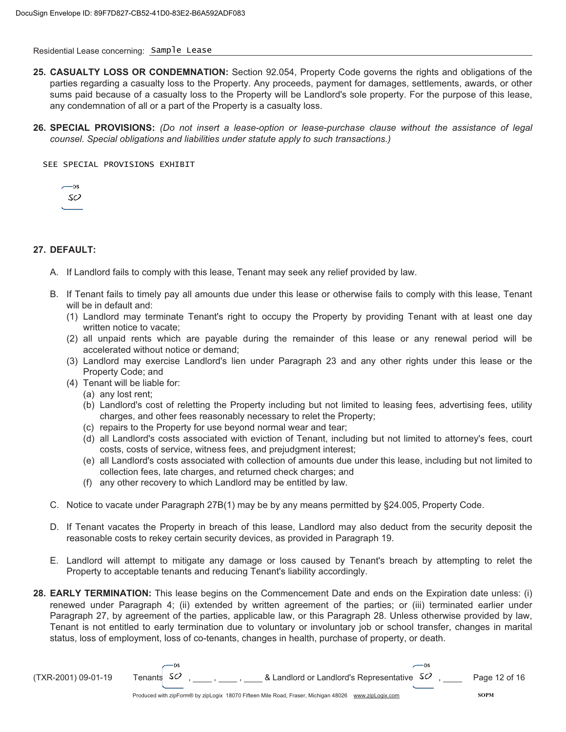- 25. CASUALTY LOSS OR CONDEMNATION: Section 92.054, Property Code governs the rights and obligations of the parties regarding a casualty loss to the Property. Any proceeds, payment for damages, settlements, awards, or other sums paid because of a casualty loss to the Property will be Landlord's sole property. For the purpose of this lease, any condemnation of all or a part of the Property is a casualty loss.
- 26. SPECIAL PROVISIONS: (Do not insert a lease-option or lease-purchase clause without the assistance of legal counsel. Special obligations and liabilities under statute apply to such transactions.)

SEE SPECIAL PROVISIONS EXHIBIT



## 27. DEFAULT:

- A. If Landlord fails to comply with this lease, Tenant may seek any relief provided by law.
- B. If Tenant fails to timely pay all amounts due under this lease or otherwise fails to comply with this lease, Tenant will be in default and:
	- (1) Landlord may terminate Tenant's right to occupy the Property by providing Tenant with at least one day written notice to vacate:
	- (2) all unpaid rents which are payable during the remainder of this lease or any renewal period will be accelerated without notice or demand;
	- (3) Landlord may exercise Landlord's lien under Paragraph 23 and any other rights under this lease or the Property Code; and
	- (4) Tenant will be liable for:
		- (a) any lost rent;
		- (b) Landlord's cost of reletting the Property including but not limited to leasing fees, advertising fees, utility charges, and other fees reasonably necessary to relet the Property;
		- (c) repairs to the Property for use beyond normal wear and tear;
		- (d) all Landlord's costs associated with eviction of Tenant, including but not limited to attorney's fees, court costs, costs of service, witness fees, and prejudgment interest;
		- (e) all Landlord's costs associated with collection of amounts due under this lease, including but not limited to collection fees, late charges, and returned check charges; and
		- (f) any other recovery to which Landlord may be entitled by law.
- C. Notice to vacate under Paragraph 27B(1) may be by any means permitted by §24.005, Property Code.
- D. If Tenant vacates the Property in breach of this lease, Landlord may also deduct from the security deposit the reasonable costs to rekey certain security devices, as provided in Paragraph 19.
- E. Landlord will attempt to mitigate any damage or loss caused by Tenant's breach by attempting to relet the Property to acceptable tenants and reducing Tenant's liability accordingly.
- 28. EARLY TERMINATION: This lease begins on the Commencement Date and ends on the Expiration date unless: (i) renewed under Paragraph 4; (ii) extended by written agreement of the parties; or (iii) terminated earlier under Paragraph 27, by agreement of the parties, applicable law, or this Paragraph 28. Unless otherwise provided by law, Tenant is not entitled to early termination due to voluntary or involuntary job or school transfer, changes in marital status, loss of employment, loss of co-tenants, changes in health, purchase of property, or death.

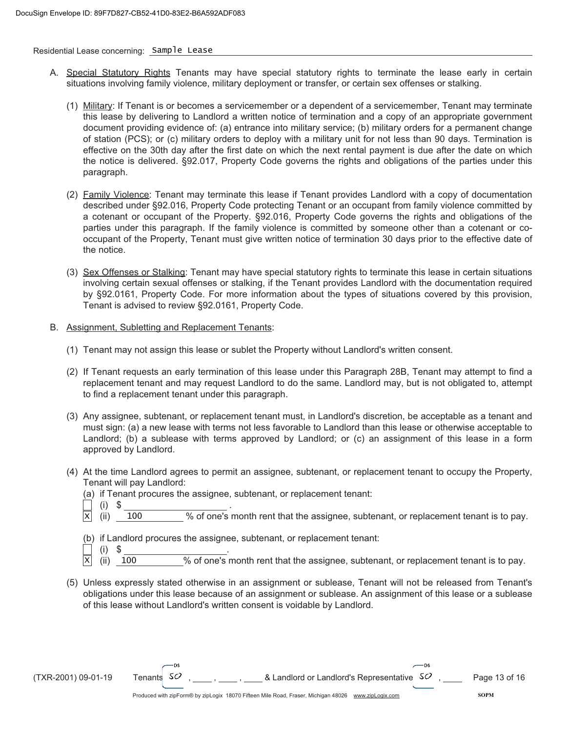- A. Special Statutory Rights Tenants may have special statutory rights to terminate the lease early in certain situations involving family violence, military deployment or transfer, or certain sex offenses or stalking.
	- (1) Military: If Tenant is or becomes a servicemember or a dependent of a servicemember, Tenant may terminate this lease by delivering to Landlord a written notice of termination and a copy of an appropriate government document providing evidence of: (a) entrance into military service; (b) military orders for a permanent change of station (PCS); or (c) military orders to deploy with a military unit for not less than 90 days. Termination is effective on the 30th day after the first date on which the next rental payment is due after the date on which the notice is delivered. §92.017, Property Code governs the rights and obligations of the parties under this paragraph.
	- (2) Family Violence: Tenant may terminate this lease if Tenant provides Landlord with a copy of documentation described under §92.016, Property Code protecting Tenant or an occupant from family violence committed by a cotenant or occupant of the Property. §92.016, Property Code governs the rights and obligations of the parties under this paragraph. If the family violence is committed by someone other than a cotenant or cooccupant of the Property, Tenant must give written notice of termination 30 days prior to the effective date of the notice.
	- (3) Sex Offenses or Stalking: Tenant may have special statutory rights to terminate this lease in certain situations involving certain sexual offenses or stalking, if the Tenant provides Landlord with the documentation required by §92.0161, Property Code. For more information about the types of situations covered by this provision, Tenant is advised to review §92.0161, Property Code.
- B. Assignment, Subletting and Replacement Tenants:
	- (1) Tenant may not assign this lease or sublet the Property without Landlord's written consent.
	- (2) If Tenant requests an early termination of this lease under this Paragraph 28B, Tenant may attempt to find a replacement tenant and may request Landlord to do the same. Landlord may, but is not obligated to, attempt to find a replacement tenant under this paragraph.
	- (3) Any assignee, subtenant, or replacement tenant must, in Landlord's discretion, be acceptable as a tenant and must sign: (a) a new lease with terms not less favorable to Landlord than this lease or otherwise acceptable to Landlord; (b) a sublease with terms approved by Landlord; or (c) an assignment of this lease in a form approved by Landlord.
	- (4) At the time Landlord agrees to permit an assignee, subtenant, or replacement tenant to occupy the Property, Tenant will pay Landlord:
		- (a) if Tenant procures the assignee, subtenant, or replacement tenant:
		- $(i)$  \$
		- % of one's month rent that the assignee, subtenant, or replacement tenant is to pay.  $\overline{\mathsf{x}}$  $(ii)$ 100
		- (b) if Landlord procures the assignee, subtenant, or replacement tenant:

ns

- $(i)$  \$
- $\overline{\mathsf{x}}$ % of one's month rent that the assignee, subtenant, or replacement tenant is to pay.  $(ii) 100$
- (5) Unless expressly stated otherwise in an assignment or sublease, Tenant will not be released from Tenant's obligations under this lease because of an assignment or sublease. An assignment of this lease or a sublease of this lease without Landlord's written consent is voidable by Landlord.

**SOPM** 

-ns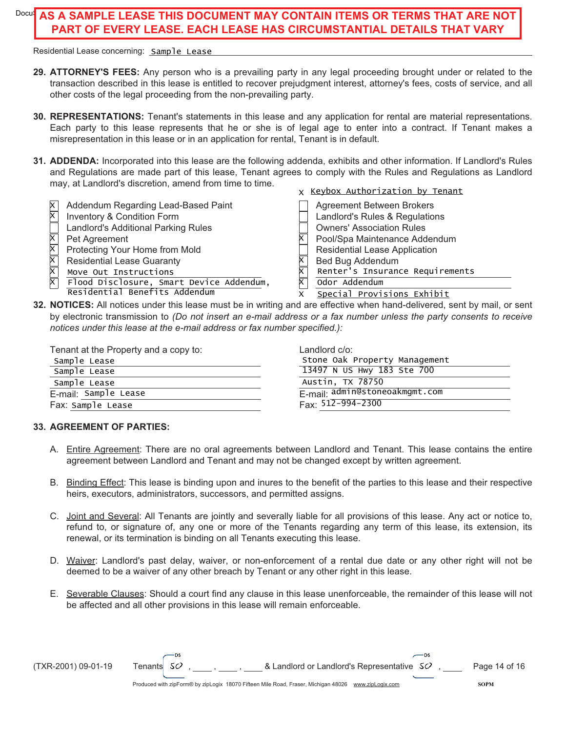#### Docu: AS A SAMPLE LEASE THIS DOCUMENT MAY CONTAIN ITEMS OR TERMS THAT ARE NOT PART OF EVERY LEASE. EACH LEASE HAS CIRCUMSTANTIAL DETAILS THAT VARY

Residential Lease concerning: Sample Lease

- 29. ATTORNEY'S FEES: Any person who is a prevailing party in any legal proceeding brought under or related to the transaction described in this lease is entitled to recover prejudgment interest, attorney's fees, costs of service, and all other costs of the legal proceeding from the non-prevailing party.
- 30. REPRESENTATIONS: Tenant's statements in this lease and any application for rental are material representations. Each party to this lease represents that he or she is of legal age to enter into a contract. If Tenant makes a misrepresentation in this lease or in an application for rental, Tenant is in default.
- 31. ADDENDA: Incorporated into this lease are the following addenda, exhibits and other information. If Landlord's Rules and Regulations are made part of this lease, Tenant agrees to comply with the Rules and Regulations as Landlord may, at Landlord's discretion, amend from time to time.
	- Addendum Regarding Lead-Based Paint
	- $\overline{\mathsf{x}}$ **Inventory & Condition Form**
	- **Landlord's Additional Parking Rules**
	- Pet Agreement
	- $\frac{1}{x}$   $\frac{x}{x}$ Protecting Your Home from Mold
	- **Residential Lease Guaranty**
	- Move Out Instructions
	- Flood Disclosure, Smart Device Addendum,
	- Residential Benefits Addendum

x Keybox Authorization by Tenant

- Agreement Between Brokers Landlord's Rules & Regulations **Owners' Association Rules**  $\overline{\mathsf{x}}$ Pool/Spa Maintenance Addendum Residential Lease Application  $\overline{\mathsf{x}}$ **Bed Bug Addendum** ⋉ Renter's Insurance Requirements ⊽ Odor Addendum Special Provisions Exhibit  $\boldsymbol{\mathsf{x}}$
- 32. NOTICES: All notices under this lease must be in writing and are effective when hand-delivered, sent by mail, or sent by electronic transmission to (Do not insert an e-mail address or a fax number unless the party consents to receive notices under this lease at the e-mail address or fax number specified.):

| Tenant at the Property and a copy to: | Landlord $c/c$ :               |
|---------------------------------------|--------------------------------|
| Sample Lease                          | Stone Oak Property Management  |
| Sample Lease                          | 13497 N US Hwy 183 Ste 700     |
| Sample Lease                          | Austin, TX 78750               |
| E-mail: Sample Lease                  | E-mail: admin@stoneoakmgmt.com |
| Fax: Sample Lease                     | $Fax: 512 - 994 - 2300$        |

## **33. AGREEMENT OF PARTIES:**

(TXR-

- A. Entire Agreement: There are no oral agreements between Landlord and Tenant. This lease contains the entire agreement between Landlord and Tenant and may not be changed except by written agreement.
- B. Binding Effect: This lease is binding upon and inures to the benefit of the parties to this lease and their respective heirs, executors, administrators, successors, and permitted assigns.
- C. Joint and Several: All Tenants are jointly and severally liable for all provisions of this lease. Any act or notice to, refund to, or signature of, any one or more of the Tenants regarding any term of this lease, its extension, its renewal, or its termination is binding on all Tenants executing this lease.
- D. Waiver: Landlord's past delay, waiver, or non-enforcement of a rental due date or any other right will not be deemed to be a waiver of any other breach by Tenant or any other right in this lease.
- E. Severable Clauses: Should a court find any clause in this lease unenforceable, the remainder of this lease will not be affected and all other provisions in this lease will remain enforceable.

| -2001) 09-01-19 | Tenants $SO$ | & Landlord or Landlord's Representative $SO$                                                           | ٠DS | Page 14 of 16 |
|-----------------|--------------|--------------------------------------------------------------------------------------------------------|-----|---------------|
|                 |              | Produced with zinForm® by zinl ogix 18070 Fifteen Mile Road, Fraser, Michigan 48026, www.zinl.ogix.com |     | <b>SOPM</b>   |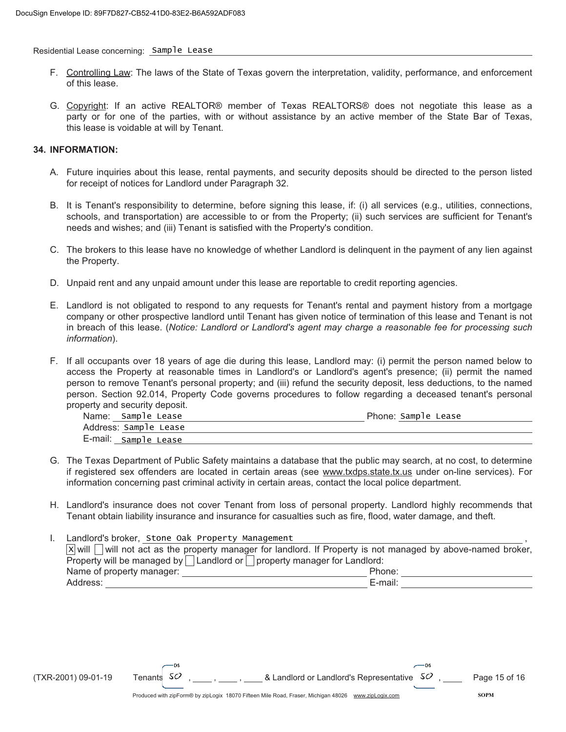- F. Controlling Law: The laws of the State of Texas govern the interpretation, validity, performance, and enforcement of this lease.
- G. Copyright: If an active REALTOR® member of Texas REALTORS® does not negotiate this lease as a party or for one of the parties, with or without assistance by an active member of the State Bar of Texas, this lease is voidable at will by Tenant.

## **34. INFORMATION:**

- A. Future inquiries about this lease, rental payments, and security deposits should be directed to the person listed for receipt of notices for Landlord under Paragraph 32.
- B. It is Tenant's responsibility to determine, before signing this lease, if: (i) all services (e.g., utilities, connections, schools, and transportation) are accessible to or from the Property; (ii) such services are sufficient for Tenant's needs and wishes; and (iii) Tenant is satisfied with the Property's condition.
- C. The brokers to this lease have no knowledge of whether Landlord is delinguent in the payment of any lien against the Property.
- D. Unpaid rent and any unpaid amount under this lease are reportable to credit reporting agencies.
- E. Landlord is not obligated to respond to any requests for Tenant's rental and payment history from a mortgage company or other prospective landlord until Tenant has given notice of termination of this lease and Tenant is not in breach of this lease. (Notice: Landlord or Landlord's agent may charge a reasonable fee for processing such *information*).
- F. If all occupants over 18 years of age die during this lease, Landlord may: (i) permit the person named below to access the Property at reasonable times in Landlord's or Landlord's agent's presence; (ii) permit the named person to remove Tenant's personal property; and (iii) refund the security deposit, less deductions, to the named person. Section 92.014, Property Code governs procedures to follow regarding a deceased tenant's personal property and security deposit.

| Name: Sample Lease    | Phone: Sample Lease |
|-----------------------|---------------------|
| Address: Sample Lease |                     |
| E-mail: Sample Lease  |                     |

- G. The Texas Department of Public Safety maintains a database that the public may search, at no cost, to determine if registered sex offenders are located in certain areas (see www.txdps.state.tx.us under on-line services). For information concerning past criminal activity in certain areas, contact the local police department.
- H. Landlord's insurance does not cover Tenant from loss of personal property. Landlord highly recommends that Tenant obtain liability insurance and insurance for casualties such as fire, flood, water damage, and theft.

| Landlord's broker, Stone Oak Property Management                                                                                                  |         |  |
|---------------------------------------------------------------------------------------------------------------------------------------------------|---------|--|
| $\overline{X}$ will $\overline{\phantom{X}}$ will not act as the property manager for landlord. If Property is not managed by above-named broker, |         |  |
| Property will be managed by Landlord or property manager for Landlord:                                                                            |         |  |
| Name of property manager:                                                                                                                         | Phone:  |  |
| Address:                                                                                                                                          | E-mail: |  |

ne.

 $-ns$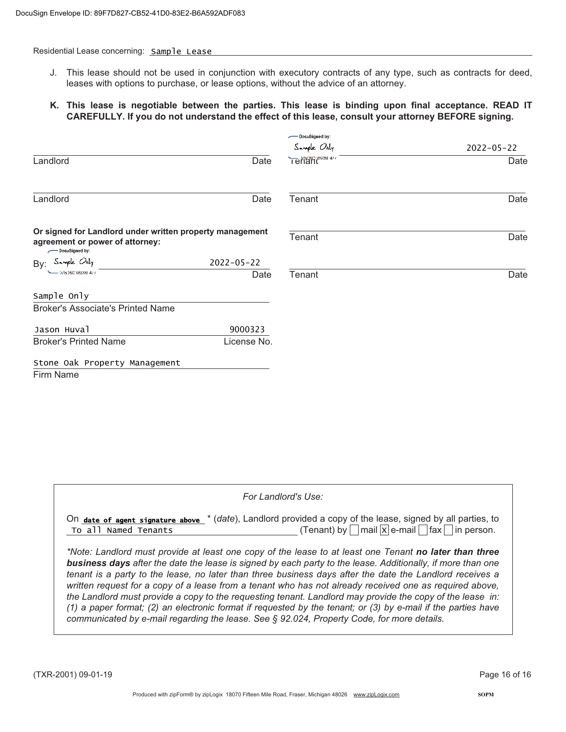- J. This lease should not be used in conjunction with executory contracts of any type, such as contracts for deed, leases with options to purchase, or lease options, without the advice of an attorney.
- K. This lease is negotiable between the parties. This lease is binding upon final acceptance. READ IT CAREFULLY. If you do not understand the effect of this lease, consult your attorney BEFORE signing.

|                                                                                                                |             | DocuSigned by:<br>Sample Only | $2022 - 05 - 22$ |
|----------------------------------------------------------------------------------------------------------------|-------------|-------------------------------|------------------|
| Landlord                                                                                                       | Date        | Tenang asas 4//               | Date             |
| Landlord                                                                                                       | Date        | Tenant                        | Date             |
| Or signed for Landlord under written property management<br>agreement or power of attorney:<br>-DocuSigned by: |             | Tenant                        | Date             |
| Sandle Only<br>$2022 - 05 - 22$<br>By:                                                                         |             |                               |                  |
| -D75D8CH8938L477                                                                                               | Date        | Tenant                        | Date             |
| Sample Only                                                                                                    |             |                               |                  |
| <b>Broker's Associate's Printed Name</b>                                                                       |             |                               |                  |
| Jason Huval                                                                                                    | 9000323     |                               |                  |
| <b>Broker's Printed Name</b>                                                                                   | License No. |                               |                  |
| Stone Oak Property Management                                                                                  |             |                               |                  |
| Firm Name                                                                                                      |             |                               |                  |

| For Landlord's Use:                                                                                                                                                                                                                                                                                                                   |
|---------------------------------------------------------------------------------------------------------------------------------------------------------------------------------------------------------------------------------------------------------------------------------------------------------------------------------------|
| On date of agent signature above * (date), Landlord provided a copy of the lease, signed by all parties, to<br>(Tenant) by $\Box$ mail $\Box$ e-mail $\Box$ fax $\Box$ in person.<br>To all Named Tenants                                                                                                                             |
| *Note: Landlord must provide at least one copy of the lease to at least one Tenant no later than three<br>business days after the date the lease is signed by each party to the lease. Additionally, if more than one<br>tenant is a party to the lease, no later than three business days after the date the Landlord receives a     |
| written request for a copy of a lease from a tenant who has not already received one as required above,<br>the Landlord must provide a copy to the requesting tenant. Landlord may provide the copy of the lease in:<br>(1) a paper format; (2) an electronic format if requested by the tenant; or (3) by e-mail if the parties have |

(TXR-2001) 09-01-19

communicated by e-mail regarding the lease. See § 92.024, Property Code, for more details.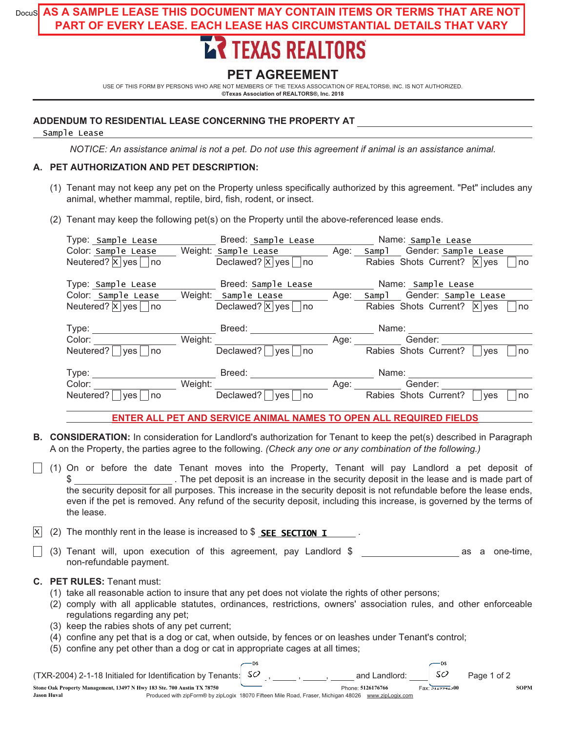AS A SAMPLE LEASE THIS DOCUMENT MAY CONTAIN ITEMS OR TERMS THAT ARE NO Docu<sub>S</sub> PART OF EVERY LEASE. EACH LEASE HAS CIRCUMSTANTIAL DETAILS THAT VARY

# **TEXAS REALTORS**

# **PET AGREEMENT**

USE OF THIS FORM BY PERSONS WHO ARE NOT MEMBERS OF THE TEXAS ASSOCIATION OF REALTORS®, INC. IS NOT AUTHORIZED. ©Texas Association of REALTORS®, Inc. 2018

## ADDENDUM TO RESIDENTIAL LEASE CONCERNING THE PROPERTY AT

Sample Lease

NOTICE: An assistance animal is not a pet. Do not use this agreement if animal is an assistance animal.

## A. PET AUTHORIZATION AND PET DESCRIPTION:

- (1) Tenant may not keep any pet on the Property unless specifically authorized by this agreement. "Pet" includes any animal, whether mammal, reptile, bird, fish, rodent, or insect.
- (2) Tenant may keep the following pet(s) on the Property until the above-referenced lease ends.

| Type: Sample Lease      | Breed: Sample Lease                 | Name: Sample Lease                         |
|-------------------------|-------------------------------------|--------------------------------------------|
| Color: Sample Lease     | Weight: Sample Lease                | Age:<br>Gender: Sample Lease<br>Sampl      |
| Neutered? $x yes $   no | Declawed? $\overline{X}$ yes<br> no | Rabies Shots Current? X yes<br>no          |
| Type: Sample Lease      | Breed: Sample Lease                 | Name: Sample Lease                         |
| Color: Sample Lease     | Weight: Sample Lease                | Age:<br>Sampl Gender: Sample Lease         |
| Neutered? $x yes $   no | Declawed? $X$ yes<br> no            | Rabies Shots Current?  X   yes<br>no       |
|                         |                                     |                                            |
| Type:                   | Breed:                              | Name:                                      |
| Color:                  |                                     | Gender:                                    |
| Neutered?<br>ves<br>no  | Weight:<br>Declawed?<br>ves<br>no   | Age:<br>Rabies Shots Current?<br>ves<br>no |
| Type:                   | Breed:                              | Name:                                      |
| Color:                  | Weight:                             | Age:<br>Gender:                            |

## **ENTER ALL PET AND SERVICE ANIMAL NAMES TO OPEN ALL REQUIRED FIELDS**

- B. CONSIDERATION: In consideration for Landlord's authorization for Tenant to keep the pet(s) described in Paragraph A on the Property, the parties agree to the following, (Check any one or any combination of the following.)
- □ (1) On or before the date Tenant moves into the Property, Tenant will pay Landlord a pet deposit of . The pet deposit is an increase in the security deposit in the lease and is made part of S. the security deposit for all purposes. This increase in the security deposit is not refundable before the lease ends, even if the pet is removed. Any refund of the security deposit, including this increase, is governed by the terms of the lease.

 $\overline{X}$  (2) The monthly rent in the lease is increased to \$ SEE SECTION I .

(3) Tenant will, upon execution of this agreement, pay Landlord \$ 3 as a one-time, non-refundable payment.

## C. PET RULES: Tenant must:

- (1) take all reasonable action to insure that any pet does not violate the rights of other persons;
- (2) comply with all applicable statutes, ordinances, restrictions, owners' association rules, and other enforceable regulations regarding any pet;
- (3) keep the rabies shots of any pet current;
- (4) confine any pet that is a dog or cat, when outside, by fences or on leashes under Tenant's control;
- (5) confine any pet other than a dog or cat in appropriate cages at all times;

|                                                                           |                                                                                    | —DS |                   | - 15            |             |      |
|---------------------------------------------------------------------------|------------------------------------------------------------------------------------|-----|-------------------|-----------------|-------------|------|
| (TXR-2004) 2-1-18 Initialed for Identification by Tenants: $\mathcal{S}O$ |                                                                                    |     | and Landlord:     | SC              | Page 1 of 2 |      |
| Stone Oak Property Management, 13497 N Hwy 183 Ste. 700 Austin TX 78750   |                                                                                    |     | Phone: 5126176766 | Fax: 5129942300 |             | SOPM |
| <b>Jason Huval</b>                                                        | Produced with zipForm® by zipLogix 18070 Fifteen Mile Road, Fraser, Michigan 48026 |     | www.zipLoaix.com  |                 |             |      |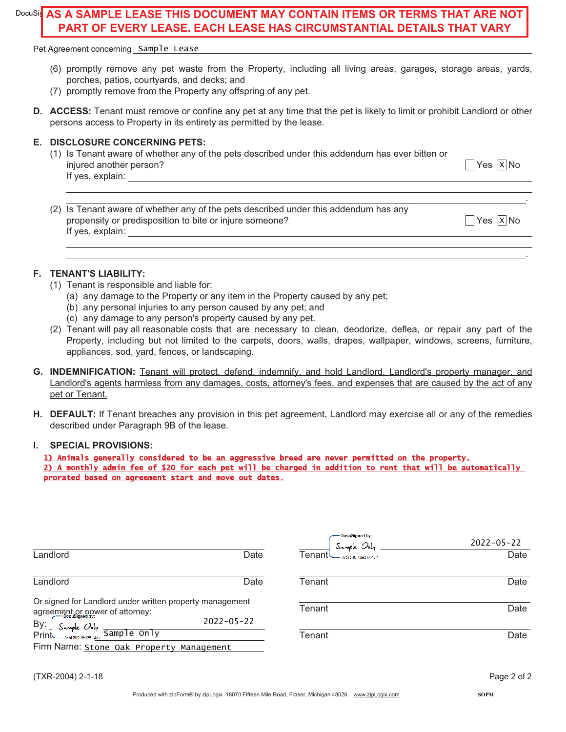#### **DocuSid** AS A SAMPLE LEASE THIS DOCUMENT MAY CONTAIN ITEMS OR TERMS THAT ARE NOT PART OF EVERY LEASE. EACH LEASE HAS CIRCUMSTANTIAL DETAILS THAT VARY

Pet Agreement concerning Sample Lease

- (6) promptly remove any pet waste from the Property, including all living areas, garages, storage areas, yards, porches, patios, courtyards, and decks; and
- (7) promptly remove from the Property any offspring of any pet.
- D. ACCESS: Tenant must remove or confine any pet at any time that the pet is likely to limit or prohibit Landlord or other persons access to Property in its entirety as permitted by the lease.

## E. DISCLOSURE CONCERNING PETS:

(1) Is Tenant aware of whether any of the pets described under this addendum has ever bitten or injured another person? If yes, explain: \_\_\_\_\_\_\_\_\_\_

 $\Box$  Yes  $\overline{X}$  No

(2) Is Tenant aware of whether any of the pets described under this addendum has any propensity or predisposition to bite or injure someone? 

 $\Box$  Yes  $\overline{X}$  No

## F. TENANT'S LIABILITY:

- (1) Tenant is responsible and liable for:
	- (a) any damage to the Property or any item in the Property caused by any pet;
	- (b) any personal injuries to any person caused by any pet; and
	- (c) any damage to any person's property caused by any pet.
- (2) Tenant will pay all reasonable costs that are necessary to clean, deodorize, deflea, or repair any part of the Property, including but not limited to the carpets, doors, walls, drapes, wallpaper, windows, screens, furniture, appliances, sod, yard, fences, or landscaping.
- G. INDEMNIFICATION: Tenant will protect, defend, indemnify, and hold Landlord, Landlord's property manager, and Landlord's agents harmless from any damages, costs, attorney's fees, and expenses that are caused by the act of any pet or Tenant.
- H. DEFAULT: If Tenant breaches any provision in this pet agreement, Landlord may exercise all or any of the remedies described under Paragraph 9B of the lease.

## I. SPECIAL PROVISIONS:

1) Animals generally considered to be an aggressive breed are never permitted on the property. 2) A monthly admin fee of \$20 for each pet will be charged in addition to rent that will be automatically prorated based on agreement start and move out dates.

|                                                                                                 |      | — росиэндиед ру:<br>$S$ -wole $O$ aly | $2022 - 05 - 22$ |
|-------------------------------------------------------------------------------------------------|------|---------------------------------------|------------------|
| Landlord                                                                                        | Date | Гenant∖<br>17508018938147             | Date             |
| Landlord                                                                                        | Date | ⊺enant                                | Date             |
| Or signed for Landlord under written property management<br>agreement or nower of attorney:     |      | Гenant                                | Date             |
| $2022 - 05 - 22$<br>By:<br>$S$ <i>wole</i> $O_{\rm sky}$<br>Sample Only<br>Print DANSCHESSEL477 |      | Гenant                                | Date             |
| Firm Name: stone Oak Property Management                                                        |      |                                       |                  |

(TXR-2004) 2-1-18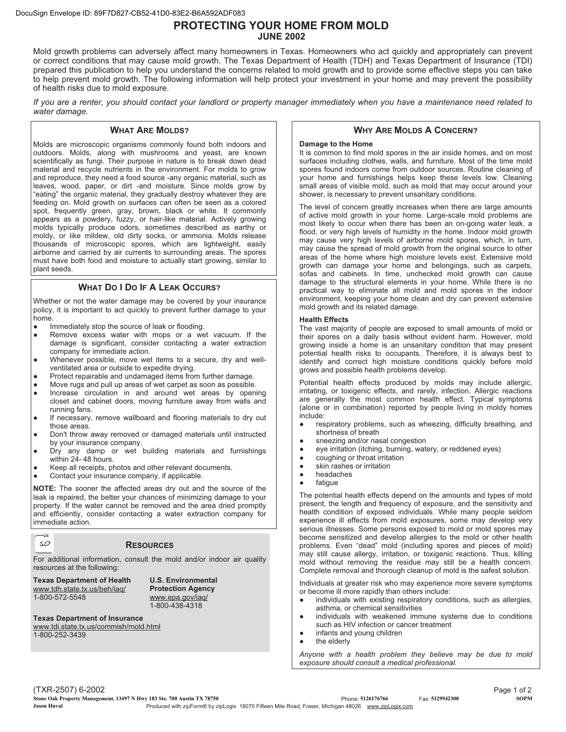#### DocuSign Envelope ID: 89F7D827-CB52-41D0-83E2-B6A592ADF083

## PROTECTING YOUR HOME FROM MOLD **JUNE 2002**

Mold growth problems can adversely affect many homeowners in Texas. Homeowners who act quickly and appropriately can prevent or correct conditions that may cause mold growth. The Texas Department of Health (TDH) and Texas Department of Insurance (TDI) prepared this publication to help you understand the concerns related to mold growth and to provide some effective steps you can take to help prevent mold growth. The following information will help protect your investment in your home and may prevent the possibility of health risks due to mold exposure.

If you are a renter, you should contact your landlord or property manager immediately when you have a maintenance need related to water damage.

#### **WHAT ARE MOLDS?**

Molds are microscopic organisms commonly found both indoors and outdoors. Molds, along with mushrooms and yeast, are known scientifically as fungi. Their purpose in nature is to break down dead material and recycle nutrients in the environment. For molds to grow and reproduce, they need a food source -any organic material, such as leaves, wood, paper, or dirt -and moisture. Since molds grow by "eating" the organic material, they gradually destroy whatever they are feeding on. Mold growth on surfaces can often be seen as a colored spot, frequently green, gray, brown, black or white. It commonly appears as a powdery, fuzzy, or hair-like material. Actively growing molds typically produce odors, sometimes described as earthy or moldy, or like mildew, old dirty socks, or ammonia. Molds release thousands of microscopic spores, which are lightweight, easily airborne and carried by air currents to surrounding areas. The spores must have both food and moisture to actually start growing, similar to plant seeds.

## **WHAT DO I DO IF A LEAK OCCURS?**

Whether or not the water damage may be covered by your insurance policy, it is important to act quickly to prevent further damage to your home.

- Immediately stop the source of leak or flooding.
- Remove excess water with mops or a wet vacuum. If the damage is significant, consider contacting a water extraction company for immediate action.
- Whenever possible, move wet items to a secure, dry and well- $\bullet$ ventilated area or outside to expedite drying.
- Protect repairable and undamaged items from further damage.
- Move rugs and pull up areas of wet carpet as soon as possible.
- Increase circulation in and around wet areas by opening closet and cabinet doors, moving furniture away from walls and running fans.
- If necessary, remove wallboard and flooring materials to dry out those areas.
- Don't throw away removed or damaged materials until instructed by your insurance company.
- Dry any damp or wet building materials and furnishings within 24-48 hours.
- Keep all receipts, photos and other relevant documents.
- Contact your insurance company, if applicable.

NOTE: The sooner the affected areas dry out and the source of the leak is repaired, the better your chances of minimizing damage to your property. If the water cannot be removed and the area dried promptly and efficiently, consider contacting a water extraction company for immediate action.

#### SO.

#### **RESOURCES**

For additional information, consult the mold and/or indoor air quality resources at the following:

**Texas Department of Health** www.tdh.state.tx.us/beh/iag/ 1-800-572-5548

**U.S. Environmental Protection Agency** www.epa.gov/iaq/ 1-800-438-4318

**Texas Department of Insurance** www.tdi.state.tx.us/commish/mold.html 1-800-252-3439

### **WHY ARE MOLDS A CONCERN?**

#### Damage to the Home

It is common to find mold spores in the air inside homes, and on most surfaces including clothes, walls, and furniture. Most of the time mold spores found indoors come from outdoor sources. Routine cleaning of your home and furnishings helps keep these levels low. Cleaning small areas of visible mold, such as mold that may occur around your shower, is necessary to prevent unsanitary conditions.

The level of concern greatly increases when there are large amounts of active mold growth in your home. Large-scale mold problems are most likely to occur when there has been an on-going water leak, a flood, or very high levels of humidity in the home. Indoor mold growth may cause very high levels of airborne mold spores, which, in turn, may cause the spread of mold growth from the original source to other areas of the home where high moisture levels exist. Extensive mold growth can damage your home and belongings, such as carpets, sofas and cabinets. In time, unchecked mold growth can cause damage to the structural elements in your home. While there is no practical way to eliminate all mold and mold spores in the indoor environment, keeping your home clean and dry can prevent extensive mold growth and its related damage.

#### **Health Effects**

The vast majority of people are exposed to small amounts of mold or their spores on a daily basis without evident harm. However, mold growing inside a home is an unsanitary condition that may present potential health risks to occupants. Therefore, it is always best to identify and correct high moisture conditions quickly before mold grows and possible health problems develop.

Potential health effects produced by molds may include allergic, irritating, or toxigenic effects, and rarely, infection. Allergic reactions<br>are generally the most common health effect. Typical symptoms (alone or in combination) reported by people living in moldy homes include:

- respiratory problems, such as wheezing, difficulty breathing, and shortness of breath
- sneezing and/or nasal congestion
- eve irritation (itching, burning, watery, or reddened eyes)  $\bullet$
- coughing or throat irritation  $\bullet$
- $\bullet$ skin rashes or irritation
- headaches  $\bullet$
- fatigue

The potential health effects depend on the amounts and types of mold present, the length and frequency of exposure, and the sensitivity and health condition of exposed individuals. While many people seldom experience ill effects from mold exposures, some may develop very serious illnesses. Some persons exposed to mold or mold spores may become sensitized and develop allergies to the mold or other health problems. Even "dead" mold (including spores and pieces of mold) may still cause allergy, irritation, or toxigenic reactions. Thus, killing mold without removing the residue may still be a health concern. Complete removal and thorough cleanup of mold is the safest solution.

Individuals at greater risk who may experience more severe symptoms or become ill more rapidly than others include:

- individuals with existing respiratory conditions, such as allergies, asthma, or chemical sensitivities
- individuals with weakened immune systems due to conditions  $\bullet$ such as HIV infection or cancer treatment
- infants and young children
- the elderly

Anyone with a health problem they believe may be due to mold exposure should consult a medical professional.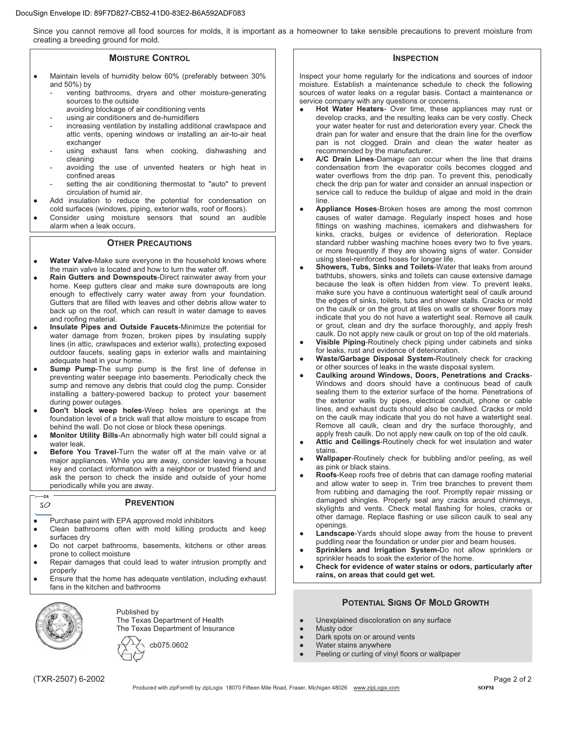Since you cannot remove all food sources for molds, it is important as a homeowner to take sensible precautions to prevent moisture from creating a breeding ground for mold.

#### **MOISTURE CONTROL**

- Maintain levels of humidity below 60% (preferably between 30%  $\bullet$ and 50%) by
	- venting bathrooms, dryers and other moisture-generating sources to the outside
	- avoiding blockage of air conditioning vents
	- using air conditioners and de-humidifiers
	- increasing ventilation by installing additional crawlspace and attic vents, opening windows or installing an air-to-air heat exchanger
	- using exhaust fans when cooking, dishwashing and cleaning
	- avoiding the use of unvented heaters or high heat in confined areas
	- setting the air conditioning thermostat to "auto" to prevent circulation of humid air.
- Add insulation to reduce the potential for condensation on  $\bullet$ cold surfaces (windows, piping, exterior walls, roof or floors).
- Consider using moisture sensors that sound an audible  $\bullet$ alarm when a leak occurs.

#### **OTHER PRECAUTIONS**

- Water Valve-Make sure everyone in the household knows where the main valve is located and how to turn the water off.
- Rain Gutters and Downspouts-Direct rainwater away from your home. Keep gutters clear and make sure downspouts are long enough to effectively carry water away from your foundation. Gutters that are filled with leaves and other debris allow water to back up on the roof, which can result in water damage to eaves and roofing material.
- Insulate Pipes and Outside Faucets-Minimize the potential for water damage from frozen, broken pipes by insulating supply lines (in attic, crawlspaces and exterior walls), protecting exposed outdoor faucets, sealing gaps in exterior walls and maintaining adequate heat in your home.
- **Sump Pump-The sump pump is the first line of defense in** preventing water seepage into basements. Periodically check the sump and remove any debris that could clog the pump. Consider installing a battery-powered backup to protect your basement during power outages.
- Don't block weep holes-Weep holes are openings at the foundation level of a brick wall that allow moisture to escape from behind the wall. Do not close or block these openings.
- Monitor Utility Bills-An abnormally high water bill could signal a  $\bullet$ water leak.
- Before You Travel-Turn the water off at the main valve or at  $\bullet$ major appliances. While you are away, consider leaving a house key and contact information with a neighbor or trusted friend and ask the person to check the inside and outside of your home periodically while you are away.

#### **PREVENTION**

- Purchase paint with EPA approved mold inhibitors
- Clean bathrooms often with mold killing products and keep surfaces drv
- Do not carpet bathrooms, basements, kitchens or other areas prone to collect moisture
- Repair damages that could lead to water intrusion promptly and  $\bullet$ properly
- Ensure that the home has adequate ventilation, including exhaust  $\bullet$ fans in the kitchen and bathrooms



 $-$ os

SO

Published by The Texas Department of Health The Texas Department of Insurance



#### **INSPECTION**

Inspect your home regularly for the indications and sources of indoor moisture. Establish a maintenance schedule to check the following sources of water leaks on a regular basis. Contact a maintenance or service company with any questions or concerns.

- Hot Water Heaters- Over time, these appliances may rust or develop cracks, and the resulting leaks can be very costly. Check your water heater for rust and deterioration every year. Check the drain pan for water and ensure that the drain line for the overflow pan is not clogged. Drain and clean the water heater as recommended by the manufacturer.
- A/C Drain Lines-Damage can occur when the line that drains  $\bullet$ condensation from the evaporator coils becomes clogged and water overflows from the drip pan. To prevent this, periodically check the drip pan for water and consider an annual inspection or service call to reduce the buildup of algae and mold in the drain line.
- Appliance Hoses-Broken hoses are among the most common causes of water damage. Regularly inspect hoses and hose fittings on washing machines, icemakers and dishwashers for kinks, cracks, bulges or evidence of deterioration. Replace standard rubber washing machine hoses every two to five years, or more frequently if they are showing signs of water. Consider using steel-reinforced hoses for longer life.
- Showers, Tubs, Sinks and Toilets-Water that leaks from around bathtubs, showers, sinks and toilets can cause extensive damage because the leak is often hidden from view. To prevent leaks, make sure you have a continuous watertight seal of caulk around the edges of sinks, toilets, tubs and shower stalls. Cracks or mold on the caulk or on the grout at tiles on walls or shower floors may indicate that you do not have a watertight seal. Remove all caulk or grout, clean and dry the surface thoroughly, and apply fresh caulk. Do not apply new caulk or grout on top of the old materials.
- Visible Piping-Routinely check piping under cabinets and sinks for leaks, rust and evidence of deterioration.
- Waste/Garbage Disposal System-Routinely check for cracking or other sources of leaks in the waste disposal system.
- Caulking around Windows, Doors, Penetrations and Cracks-Windows and doors should have a continuous bead of caulk sealing them to the exterior surface of the home. Penetrations of the exterior walls by pipes, electrical conduit, phone or cable lines, and exhaust ducts should also be caulked. Cracks or mold on the caulk may indicate that you do not have a watertight seal. Remove all caulk, clean and dry the surface thoroughly, and apply fresh caulk. Do not apply new caulk on top of the old caulk.
- Attic and Ceilings-Routinely check for wet insulation and water  $\bullet$ stains.
- Wallpaper-Routinely check for bubbling and/or peeling, as well  $\bullet$ as pink or black stains.
- Roofs-Keep roofs free of debris that can damage roofing material and allow water to seep in. Trim tree branches to prevent them from rubbing and damaging the roof. Promptly repair missing or damaged shingles. Properly seal any cracks around chimneys, skylights and vents. Check metal flashing for holes, cracks or other damage. Replace flashing or use silicon caulk to seal any openings.
- Landscape-Yards should slope away from the house to prevent puddling near the foundation or under pier and beam houses.
- Sprinklers and Irrigation System-Do not allow sprinklers or sprinkler heads to soak the exterior of the home.
- Check for evidence of water stains or odors, particularly after  $\bullet$ rains, on areas that could get wet.

#### **POTENTIAL SIGNS OF MOLD GROWTH**

- Unexplained discoloration on any surface  $\bullet$
- Musty odor  $\bullet$
- Dark spots on or around vents  $\bullet$
- Water stains anywhere  $\bullet$
- Peeling or curling of vinyl floors or wallpaper

## (TXR-2507) 6-2002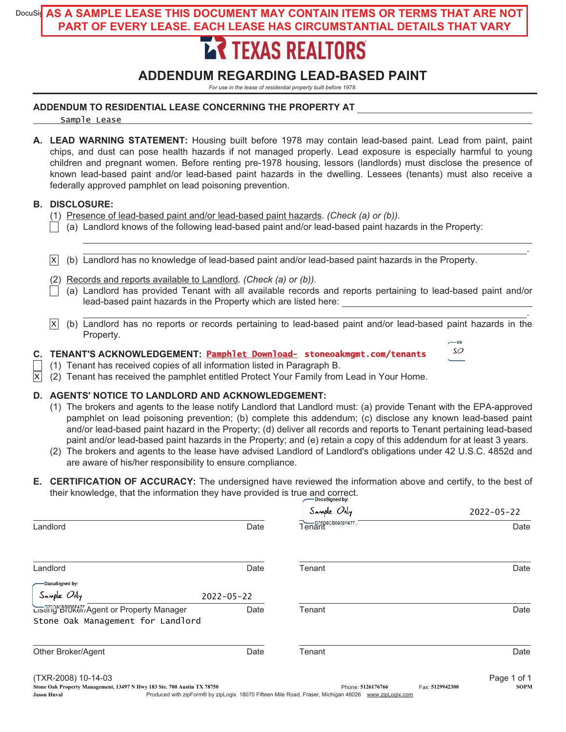#### DocuSi<mark>∫ A</mark> AS A SAMPLE LEASE THIS DOCUMENT MAY CONTAIN ITEMS OR TERMS THAT ARE NOT **PART OF EVERY LEASE. EACH LEASE HAS CIRCUMSTANTIAL DETAILS THAT VARY**

# **LY TEXAS REALTORS**

# ADDENDUM REGARDING LEAD-BASED PAINT

For use in the lease of residential property built before 1978.

## ADDENDUM TO RESIDENTIAL LEASE CONCERNING THE PROPERTY AT

Sample Lease

A. LEAD WARNING STATEMENT: Housing built before 1978 may contain lead-based paint. Lead from paint, paint chips, and dust can pose health hazards if not managed properly. Lead exposure is especially harmful to young children and pregnant women. Before renting pre-1978 housing, lessors (landlords) must disclose the presence of known lead-based paint and/or lead-based paint hazards in the dwelling. Lessees (tenants) must also receive a federally approved pamphlet on lead poisoning prevention.

## **B. DISCLOSURE:**

 $\overline{\mathsf{x}}$ 

- (1) Presence of lead-based paint and/or lead-based paint hazards. *(Check (a) or (b))*.
	- (a) Landlord knows of the following lead-based paint and/or lead-based paint hazards in the Property:
- $\overline{X}$  (b) Landlord has no knowledge of lead-based paint and/or lead-based paint hazards in the Property.
- $(2)$  Records and reports available to Landlord. *(Check (a) or (b))*.
	- (a) Landlord has provided Tenant with all available records and reports pertaining to lead-based paint and/or lead-based paint hazards in the Property which are listed here: )

)

SO

 $\overline{X}$  (b) Landlord has no reports or records pertaining to lead-based paint and/or lead-based paint hazards in the Property.

## C. TENANT'S ACKNOWLEDGEMENT: Pamphlet Download- stoneoakmamt.com/tenants

- $(1)$  Tenant has received copies of all information listed in Paragraph B.
- $(2)$  Tenant has received the pamphlet entitled Protect Your Family from Lead in Your Home.

## D. AGENTS' NOTICE TO LANDLORD AND ACKNOWLEDGEMENT:

- (1) The brokers and agents to the lease notify Landlord that Landlord must: (a) provide Tenant with the EPA-approved pamphlet on lead poisoning prevention: (b) complete this addendum: (c) disclose any known lead-based paint and/or lead-based paint hazard in the Property: (d) deliver all records and reports to Tenant pertaining lead-based paint and/or lead-based paint hazards in the Property: and (e) retain a copy of this addendum for at least 3 years.
- $(2)$  The brokers and agents to the lease have advised Landlord of Landlord's obligations under 42 U.S.C. 4852d and are aware of his/her responsibility to ensure compliance.

 $\sim$   $\sim$ 

E. CERTIFICATION OF ACCURACY: The undersianed have reviewed the information above and certify, to the best of their knowledge, that the information they have provided is true and correct.

|                              | $2022 - 05 - 22$                                 |
|------------------------------|--------------------------------------------------|
| D75D8CB8938F477.             | Date                                             |
| Tenant                       | Date                                             |
|                              |                                                  |
| Tenant                       | Date                                             |
| Tenant                       | Date                                             |
|                              | of 1<br>Page 1<br>Fax: 5129942300<br><b>SOPM</b> |
| Date<br>Date<br>Date<br>Date | Sample Only<br>Phone: 5126176766                 |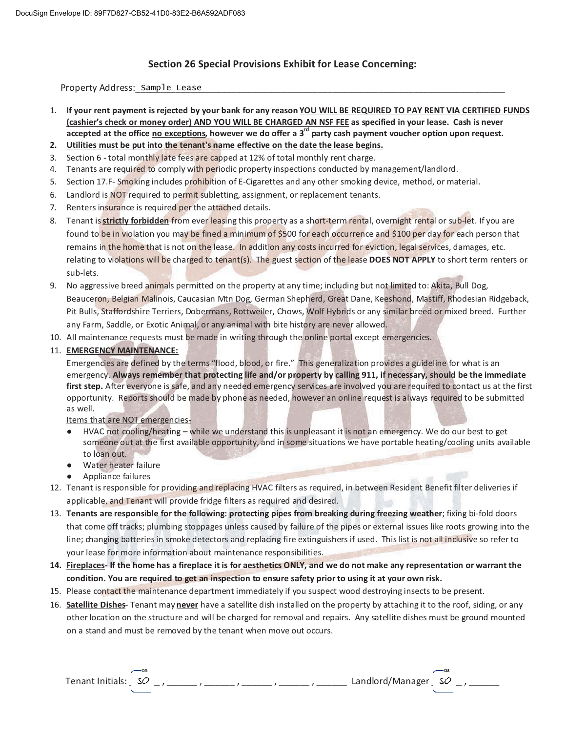## **Section 26 Special Provisions Exhibit for Lease Concerning:**

Property Address:\_\_\_\_\_\_\_\_\_\_\_\_\_\_\_\_\_\_\_\_\_\_\_\_\_\_\_\_\_\_\_\_\_\_\_\_\_\_\_\_\_\_\_\_\_\_\_\_\_\_\_\_\_\_\_\_\_\_\_\_\_\_\_\_\_\_\_\_\_\_\_\_\_ - 

- 1. **If your rent payment is rejected by your bank for any reason YOU WILL BE REQUIRED TO PAY RENT VIA CERTIFIED FUNDS (cashier's check or money order) AND YOU WILL BE CHARGED AN NSF FEE as specified in your lease. Cash is never**  accepted at the office no exceptions, however we do offer a 3<sup>rd</sup> party cash payment voucher option upon request.
- **2. Utilities must be put into the tenant's name effective on the date the lease begins.**
- 3. Section 6 total monthly late fees are capped at 12% of total monthly rent charge.
- 4. Tenants are required to comply with periodic property inspections conducted by management/landlord.
- 5. Section 17.F- Smoking includes prohibition of E-Cigarettes and any other smoking device, method, or material.
- 6. Landlord is NOT required to permit subletting, assignment, or replacement tenants.
- 7. Renters insurance is required per the attached details.
- 8. Tenant is **strictly forbidden** from ever leasing this property as a short-term rental, overnight rental or sub-let. If you are found to be in violation you may be fined a minimum of \$500 for each occurrence and \$100 per day for each person that remains in the home that is not on the lease. In addition any costs incurred for eviction, legal services, damages, etc. relating to violations will be charged to tenant(s). The guest section of the lease **DOES NOT APPLY** to short term renters or sub-lets.
- 9. No aggressive breed animals permitted on the property at any time; including but not limited to: Akita, Bull Dog, Beauceron, Belgian Malinois, Caucasian Mtn Dog, German Shepherd, Great Dane, Keeshond, Mastiff, Rhodesian Ridgeback, Pit Bulls, Staffordshire Terriers, Dobermans, Rottweiler, Chows, Wolf Hybrids or any similar breed or mixed breed. Further any Farm, Saddle, or Exotic Animal, or any animal with bite history are never allowed.
- 10. All maintenance requests must be made in writing through the online portal except emergencies.
- 11. **EMERGENCY MAINTENANCE:**

Emergencies are defined by the terms "flood, blood, or fire." This generalization provides a guideline for what is an emergency. **Always remember that protecting life and/or property by calling 911, if necessary, should be the immediate first step.** After everyone is safe, and any needed emergency services are involved you are required to contact us at the first opportunity. Reports should be made by phone as needed, however an online request is always required to be submitted as well.

Items that are NOT emergencies-

- $\bullet$  HVAC not cooling/heating – while we understand this is unpleasant it is not an emergency. We do our best to get someone out at the first available opportunity, and in some situations we have portable heating/cooling units available to loan out.
- Water heater failure
- Appliance failures
- 12. Tenant is responsible for providing and replacing HVAC filters as required, in between Resident Benefit filter deliveries if applicable, and Tenant will provide fridge filters as required and desired.
- 13. **Tenants are responsible for the following: protecting pipes from breaking during freezing weather**; fixing bi-fold doors that come off tracks; plumbing stoppages unless caused by failure of the pipes or external issues like roots growing into the line; changing batteries in smoke detectors and replacing fire extinguishers if used. This list is not all inclusive so refer to your lease for more information about maintenance responsibilities.
- **14. Fireplaces- If the home has a fireplace it is for aesthetics ONLY, and we do not make any representation or warrant the condition. You are required to get an inspection to ensure safety prior to using it at your own risk.**
- 15. Please contact the maintenance department immediately if you suspect wood destroying insects to be present.
- 16. **Satellite Dishes** Tenant may **never** have a satellite dish installed on the property by attaching it to the roof, siding, or any other location on the structure and will be charged for removal and repairs. Any satellite dishes must be ground mounted on a stand and must be removed by the tenant when move out occurs.

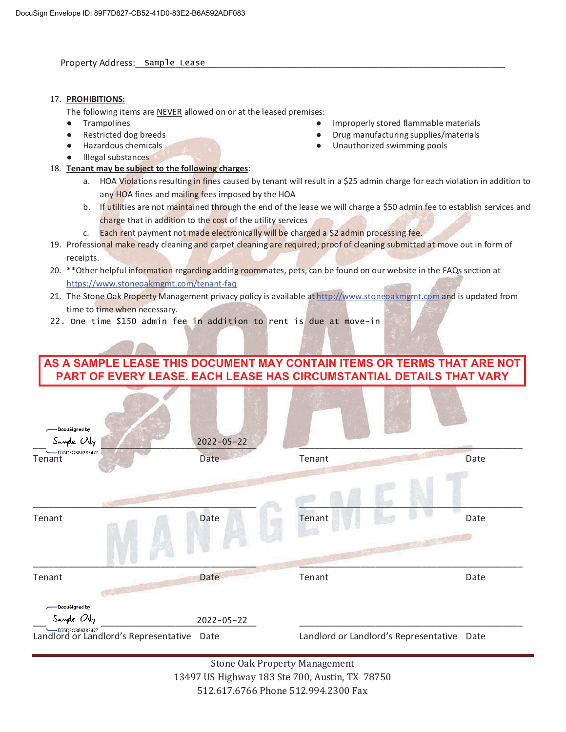## Property Address:\_\_\_\_\_\_\_\_\_\_\_\_\_\_\_\_\_\_\_\_\_\_\_\_\_\_\_\_\_\_\_\_\_\_\_\_\_\_\_\_\_\_\_\_\_\_\_\_\_\_\_\_\_\_\_\_\_\_\_\_\_\_\_\_\_\_\_\_\_\_\_\_\_ -

### 17. **PROHIBITIONS:**

The following items are NEVER allowed on or at the leased premises:

- **•** Trampolines
- Restricted dog breeds
- **•** Hazardous chemicals
- Illegal substances
- 18. **Tenant may be subject to the following charges**:
- $\bullet$ Improperly stored flammable materials
- $\bullet$ Drug manufacturing supplies/materials
- $\bullet$ Unauthorized swimming pools
- a. HOA Violations resulting in fines caused by tenant will result in a \$25 admin charge for each violation in addition to any HOA fines and mailing fees imposed by the HOA
- b. If utilities are not maintained through the end of the lease we will charge a \$50 admin fee to establish services and charge that in addition to the cost of the utility services
- c. Each rent payment not made electronically will be charged a \$2 admin processing fee.
- 19. Professional make ready cleaning and carpet cleaning are required; proof of cleaning submitted at move out in form of receipts.
- 20. \*\*Other helpful information regarding adding roommates, pets, can be found on our website in the FAQs section at https://www.stoneoakmgmt.com/tenant-faq
- 21. The Stone Oak Property Management privacy policy is available at http://www.stoneoakmgmt.com and is updated from time to time when necessary.
- 22. One time \$150 admin fee in addition to rent is due at move-in

# **AS A SAMPLE LEASE THIS DOCUMENT MAY CONTAIN ITEMS OR TERMS THAT ARE NOT PART OF EVERY LEASE. EACH LEASE HAS CIRCUMSTANTIAL DETAILS THAT VARY**

| - DocuSigned by:<br>Sample Only                                |                          |                                            |      |
|----------------------------------------------------------------|--------------------------|--------------------------------------------|------|
| -D75D8CB8938F477<br>Tenant                                     | $2022 - 05 - 22$<br>Date | Tenant                                     | Date |
|                                                                |                          |                                            |      |
|                                                                |                          |                                            |      |
| Tenant                                                         | Date                     | Tenant                                     | Date |
|                                                                |                          |                                            |      |
| Tenant                                                         | Date                     | Tenant                                     | Date |
| - DocuSigned by:                                               |                          |                                            |      |
| Sample Only                                                    | $2022 - 05 - 22$         |                                            |      |
| -D75D8CB8938F477<br>Landlord or Landlord's Representative Date |                          | Landlord or Landlord's Representative Date |      |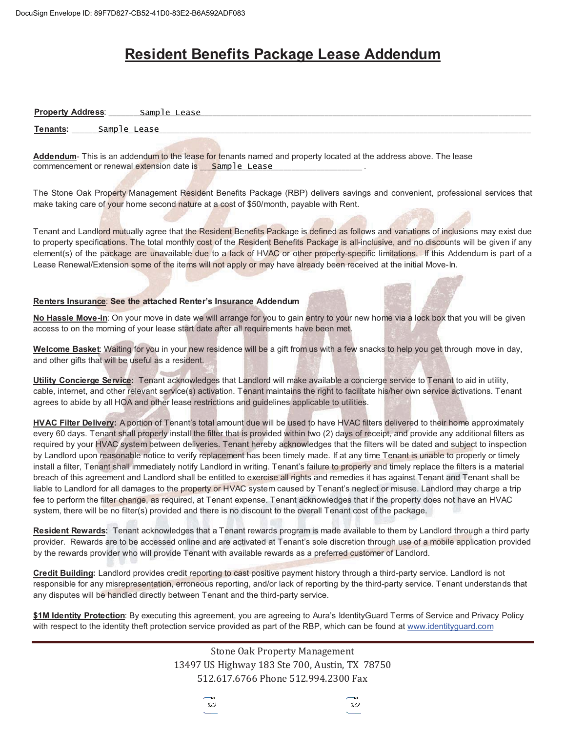# **Resident Benefits Package Lease Addendum**

Property Address: Sample Lease

**Tenants:** \_\_\_\_\_\_\_\_\_\_\_\_\_\_\_\_\_\_\_\_\_\_\_\_\_\_\_\_\_\_\_\_\_\_\_\_\_\_\_\_\_\_\_\_\_\_\_\_\_\_\_\_\_\_\_\_\_\_\_\_\_\_\_\_\_\_\_\_\_\_\_\_\_\_\_\_\_\_\_\_\_\_\_\_\_\_\_\_\_\_\_\_\_\_\_\_\_\_\_\_\_\_\_\_\_\_\_\_\_\_\_ - 

**Addendum**- This is an addendum to the lease for tenants named and property located at the address above. The lease commencement or renewal extension date is \_\_\_\_\_\_\_\_\_\_\_\_\_\_\_\_\_\_\_\_\_\_\_\_\_\_\_\_\_\_\_\_\_\_\_\_\_\_\_ . - 

The Stone Oak Property Management Resident Benefits Package (RBP) delivers savings and convenient, professional services that make taking care of your home second nature at a cost of \$50/month, payable with Rent.

Tenant and Landlord mutually agree that the Resident Benefits Package is defined as follows and variations of inclusions may exist due to property specifications. The total monthly cost of the Resident Benefits Package is all-inclusive, and no discounts will be given if any element(s) of the package are unavailable due to a lack of HVAC or other property-specific limitations. If this Addendum is part of a Lease Renewal/Extension some of the items will not apply or may have already been received at the initial Move-In.

### **Renters Insurance**: **See the attached Renter's Insurance Addendum**

**No Hassle Move-in**: On your move in date we will arrange for you to gain entry to your new home via a lock box that you will be given access to on the morning of your lease start date after all requirements have been met.

**Welcome Basket**: Waiting for you in your new residence will be a gift from us with a few snacks to help you get through move in day, and other gifts that will be useful as a resident.

**Utility Concierge Service:** Tenant acknowledges that Landlord will make available a concierge service to Tenant to aid in utility, cable, internet, and other relevant service(s) activation. Tenant maintains the right to facilitate his/her own service activations. Tenant agrees to abide by all HOA and other lease restrictions and guidelines applicable to utilities.

**HVAC Filter Delivery:** A portion of Tenant's total amount due will be used to have HVAC filters delivered to their home approximately every 60 days. Tenant shall properly install the filter that is provided within two (2) days of receipt, and provide any additional filters as required by your HVAC system between deliveries. Tenant hereby acknowledges that the filters will be dated and subject to inspection by Landlord upon reasonable notice to verify replacement has been timely made. If at any time Tenant is unable to properly or timely install a filter, Tenant shall immediately notify Landlord in writing. Tenant's failure to properly and timely replace the filters is a material breach of this agreement and Landlord shall be entitled to exercise all rights and remedies it has against Tenant and Tenant shall be liable to Landlord for all damages to the property or HVAC system caused by Tenant's neglect or misuse. Landlord may charge a trip fee to perform the filter change, as required, at Tenant expense. Tenant acknowledges that if the property does not have an HVAC system, there will be no filter(s) provided and there is no discount to the overall Tenant cost of the package.

**Resident Rewards:** Tenant acknowledges that a Tenant rewards program is made available to them by Landlord through a third party provider. Rewards are to be accessed online and are activated at Tenant's sole discretion through use of a mobile application provided by the rewards provider who will provide Tenant with available rewards as a preferred customer of Landlord.

**Credit Building:** Landlord provides credit reporting to cast positive payment history through a third-party service. Landlord is not responsible for any misrepresentation, erroneous reporting, and/or lack of reporting by the third-party service. Tenant understands that any disputes will be handled directly between Tenant and the third-party service.

**\$1M Identity Protection**: By executing this agreement, you are agreeing to Aura's IdentityGuard Terms of Service and Privacy Policy with respect to the identity theft protection service provided as part of the RBP, which can be found at www.identityguard.com

> **Stone Oak Property Management** 13497 US Highway 183 Ste 700, Austin, TX 78750 512.617.6766 Phone 512.994.2300 Fax

SO.

SO.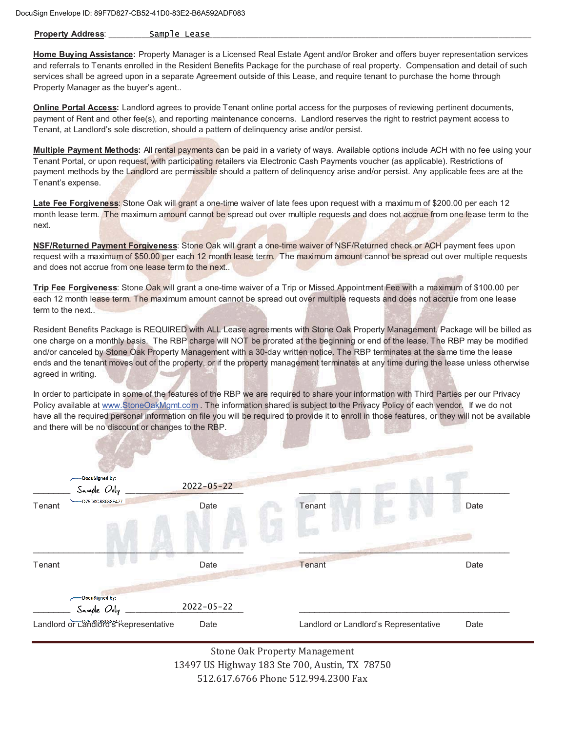Property Address: Sample Lease

**Home Buying Assistance:** Property Manager is a Licensed Real Estate Agent and/or Broker and offers buyer representation services and referrals to Tenants enrolled in the Resident Benefits Package for the purchase of real property. Compensation and detail of such services shall be agreed upon in a separate Agreement outside of this Lease, and require tenant to purchase the home through Property Manager as the buyer's agent..

**Online Portal Access:** Landlord agrees to provide Tenant online portal access for the purposes of reviewing pertinent documents, payment of Rent and other fee(s), and reporting maintenance concerns. Landlord reserves the right to restrict payment access to Tenant, at Landlord's sole discretion, should a pattern of delinquency arise and/or persist.

**Multiple Payment Methods:** All rental payments can be paid in a variety of ways. Available options include ACH with no fee using your Tenant Portal, or upon request, with participating retailers via Electronic Cash Payments voucher (as applicable). Restrictions of payment methods by the Landlord are permissible should a pattern of delinquency arise and/or persist. Any applicable fees are at the Tenant's expense.

**Late Fee Forgiveness**: Stone Oak will grant a one-time waiver of late fees upon request with a maximum of \$200.00 per each 12 month lease term. The maximum amount cannot be spread out over multiple requests and does not accrue from one lease term to the next.

**NSF/Returned Payment Forgiveness**: Stone Oak will grant a one-time waiver of NSF/Returned check or ACH payment fees upon request with a maximum of \$50.00 per each 12 month lease term. The maximum amount cannot be spread out over multiple requests and does not accrue from one lease term to the next..

**Trip Fee Forgiveness**: Stone Oak will grant a one-time waiver of a Trip or Missed Appointment Fee with a maximum of \$100.00 per each 12 month lease term. The maximum amount cannot be spread out over multiple requests and does not accrue from one lease term to the next..

Resident Benefits Package is REQUIRED with ALL Lease agreements with Stone Oak Property Management. Package will be billed as one charge on a monthly basis. The RBP charge will NOT be prorated at the beginning or end of the lease. The RBP may be modified and/or canceled by Stone Oak Property Management with a 30-day written notice. The RBP terminates at the same time the lease ends and the tenant moves out of the property, or if the property management terminates at any time during the lease unless otherwise agreed in writing.

In order to participate in some of the features of the RBP we are required to share your information with Third Parties per our Privacy Policy available at www.StoneOakMgmt.com . The information shared is subject to the Privacy Policy of each vendor. If we do not have all the required personal information on file you will be required to provide it to enroll in those features, or they will not be available and there will be no discount or changes to the RBP.

|        | DocuSigned by:<br>Sample Only         | $2022 - 05 - 22$ |                                       |      |
|--------|---------------------------------------|------------------|---------------------------------------|------|
| Tenant | -D75D8CB8938F477                      | Date             | Tenant                                | Date |
|        |                                       |                  |                                       |      |
| Tenant |                                       | Date             | Tenant                                | Date |
|        | DocuSigned by:<br>Sample Only         | $2022 - 05 - 22$ |                                       |      |
|        | Landlord or Landlord's Representative | Date             | Landlord or Landlord's Representative | Date |

**Stone Oak Property Management** 13497 US Highway 183 Ste 700, Austin, TX 78750 512.617.6766 Phone 512.994.2300 Fax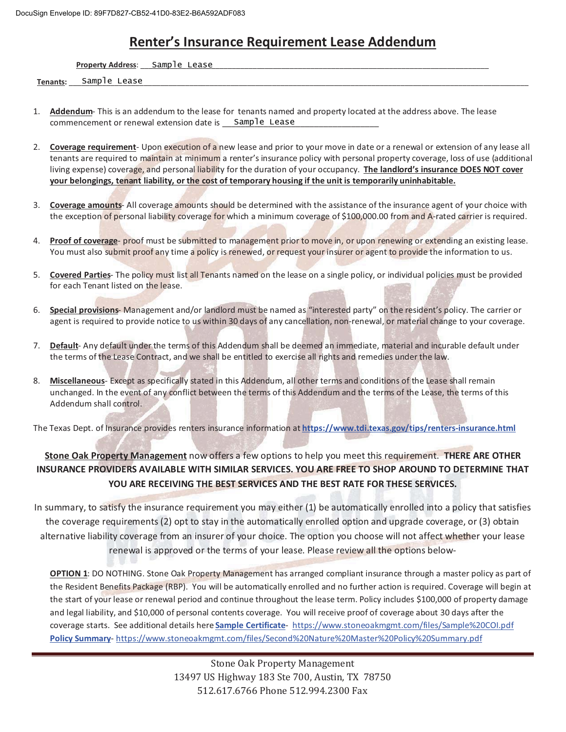# **Renter's Insurance Requirement Lease Addendum**

**Property Address**: \_\_\_\_\_\_\_\_\_\_\_\_\_\_\_\_\_\_\_\_\_\_\_\_\_\_\_\_\_\_\_\_\_\_\_\_\_\_\_\_\_\_\_\_\_\_\_\_\_\_\_\_\_\_\_\_\_\_\_\_\_\_\_\_\_\_\_\_\_\_\_\_\_\_\_\_\_\_\_\_\_\_\_\_ - -

**Tenants:** \_\_\_\_\_\_\_\_\_\_\_\_\_\_\_\_\_\_\_\_\_\_\_\_\_\_\_\_\_\_\_\_\_\_\_\_\_\_\_\_\_\_\_\_\_\_\_\_\_\_\_\_\_\_\_\_\_\_\_\_\_\_\_\_\_\_\_\_\_\_\_\_\_\_\_\_\_\_\_\_\_\_\_\_\_\_\_\_\_\_\_\_\_\_\_\_\_\_\_\_\_\_\_\_\_\_\_\_\_\_\_ - -

- 1. **Addendum** This is an addendum to the lease for tenants named and property located at the address above. The lease  $\mathsf{commen cement}$  or renewal extension date is  $\_\_\_\_\_\_\_\_\_\_\_\_\_\_\_\_$
- 2. **Coverage requirement** Upon execution of a new lease and prior to your move in date or a renewal or extension of any lease all tenants are required to maintain at minimum a renter's insurance policy with personal property coverage, loss of use (additional living expense) coverage, and personal liability for the duration of your occupancy. **The landlord's insurance DOES NOT cover your belongings, tenant liability, or the cost of temporary housing if the unit is temporarily uninhabitable.**
- 3. **Coverage amounts** All coverage amounts should be determined with the assistance of the insurance agent of your choice with the exception of personal liability coverage for which a minimum coverage of \$100,000.00 from and A-rated carrier is required.
- 4. **Proof of coverage** proof must be submitted to management prior to move in, or upon renewing or extending an existing lease. You must also submit proof any time a policy is renewed, or request your insurer or agent to provide the information to us.
- 5. **Covered Parties** The policy must list all Tenants named on the lease on a single policy, or individual policies must be provided for each Tenant listed on the lease.
- 6. **Special provisions** Management and/or landlord must be named as "interested party" on the resident's policy. The carrier or agent is required to provide notice to us within 30 days of any cancellation, non-renewal, or material change to your coverage.
- 7. **Default** Any default under the terms of this Addendum shall be deemed an immediate, material and incurable default under the terms of the Lease Contract, and we shall be entitled to exercise all rights and remedies under the law.
- 8. **Miscellaneous** Except as specifically stated in this Addendum, all other terms and conditions of the Lease shall remain unchanged. In the event of any conflict between the terms of this Addendum and the terms of the Lease, the terms of this Addendum shall control.

The Texas Dept. of Insurance provides renters insurance information at **https://www.tdi.texas.gov/tips/renters-insurance.html**

## **Stone Oak Property Management** now offers a few options to help you meet this requirement. **THERE ARE OTHER INSURANCE PROVIDERS AVAILABLE WITH SIMILAR SERVICES. YOU ARE FREE TO SHOP AROUND TO DETERMINE THAT YOU ARE RECEIVING THE BEST SERVICES AND THE BEST RATE FOR THESE SERVICES.**

In summary, to satisfy the insurance requirement you may either (1) be automatically enrolled into a policy that satisfies the coverage requirements (2) opt to stay in the automatically enrolled option and upgrade coverage, or (3) obtain alternative liability coverage from an insurer of your choice. The option you choose will not affect whether your lease renewal is approved or the terms of your lease. Please review all the options below-

**OPTION 1**: DO NOTHING. Stone Oak Property Management has arranged compliant insurance through a master policy as part of the Resident Benefits Package (RBP). You will be automatically enrolled and no further action is required. Coverage will begin at the start of your lease or renewal period and continue throughout the lease term. Policy includes \$100,000 of property damage and legal liability, and \$10,000 of personal contents coverage. You will receive proof of coverage about 30 days after the coverage starts. See additional details here **Sample Certificate**- https://www.stoneoakmgmt.com/files/Sample%20COI.pdf **Policy Summary**- https://www.stoneoakmgmt.com/files/Second%20Nature%20Master%20Policy%20Summary.pdf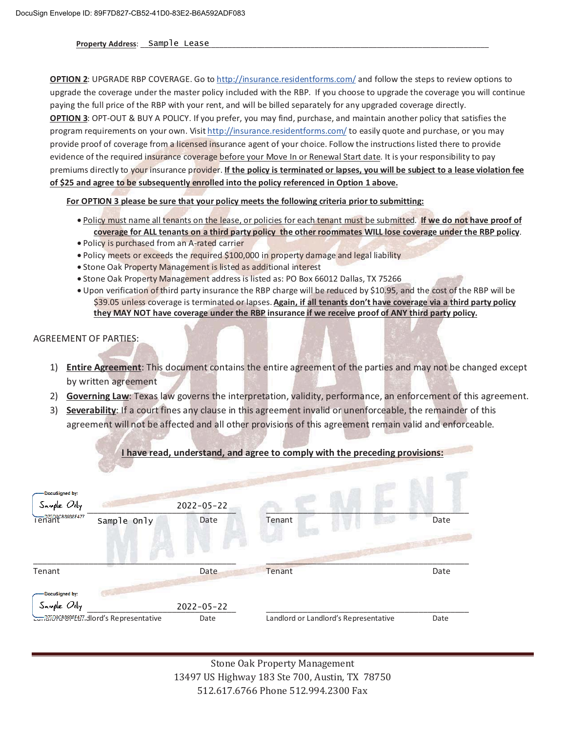## **Property Address**: \_\_\_\_\_\_\_\_\_\_\_\_\_\_\_\_\_\_\_\_\_\_\_\_\_\_\_\_\_\_\_\_\_\_\_\_\_\_\_\_\_\_\_\_\_\_\_\_\_\_\_\_\_\_\_\_\_\_\_\_\_\_\_\_\_\_\_\_\_\_\_\_\_\_\_\_\_\_\_\_\_\_\_\_ - -

**OPTION 2**: UPGRADE RBP COVERAGE. Go to http://insurance.residentforms.com/ and follow the steps to review options to upgrade the coverage under the master policy included with the RBP. If you choose to upgrade the coverage you will continue paying the full price of the RBP with your rent, and will be billed separately for any upgraded coverage directly. **OPTION 3**: OPT-OUT & BUY A POLICY. If you prefer, you may find, purchase, and maintain another policy that satisfies the program requirements on your own. Visit http://insurance.residentforms.com/ to easily quote and purchase, or you may provide proof of coverage from a licensed insurance agent of your choice. Follow the instructions listed there to provide evidence of the required insurance coverage before your Move In or Renewal Start date. It is your responsibility to pay premiums directly to your insurance provider. **If the policy is terminated or lapses, you will be subject to a lease violation fee of \$25 and agree to be subsequently enrolled into the policy referenced in Option 1 above.**

**For OPTION 3 please be sure that your policy meets the following criteria prior to submitting:**

- Policy must name all tenants on the lease, or policies for each tenant must be submitted. **If we do not have proof of coverage for ALL tenants on a third party policy the other roommates WILL lose coverage under the RBP policy**.
- Policy is purchased from an A-rated carrier
- Policy meets or exceeds the required \$100,000 in property damage and legal liability
- Stone Oak Property Management is listed as additional interest
- Stone Oak Property Management address is listed as: PO Box 66012 Dallas, TX 75266
- Upon verification of third party insurance the RBP charge will be reduced by \$10.95, and the cost of the RBP will be \$39.05 unless coverage is terminated or lapses. **Again, if all tenants don't have coverage via a third party policy they MAY NOT have coverage under the RBP insurance if we receive proof of ANY third party policy.**

## AGREEMENT OF PARTIES:

- 1) **Entire Agreement**: This document contains the entire agreement of the parties and may not be changed except by written agreement
- 2) **Governing Law**: Texas law governs the interpretation, validity, performance, an enforcement of this agreement.
- 3) **Severability**: If a court fines any clause in this agreement invalid or unenforceable, the remainder of this agreement will not be affected and all other provisions of this agreement remain valid and enforceable.

| DocuSigned by:<br>Sample Only |                                          | $2022 - 05 - 22$ | I have read, understand, and agree to comply with the preceding provisions: |      |
|-------------------------------|------------------------------------------|------------------|-----------------------------------------------------------------------------|------|
| D75D8CB3938F477               | Sample Only                              | Date             | Tenant                                                                      | Date |
|                               |                                          |                  |                                                                             |      |
| Tenant                        |                                          | Date             | Tenant                                                                      | Date |
| DocuSigned by:                |                                          |                  |                                                                             |      |
| Sample Only                   |                                          | $2022 - 05 - 22$ |                                                                             |      |
|                               | carRIBRGP8938E477.dlord's Representative | Date             | Landlord or Landlord's Representative                                       | Date |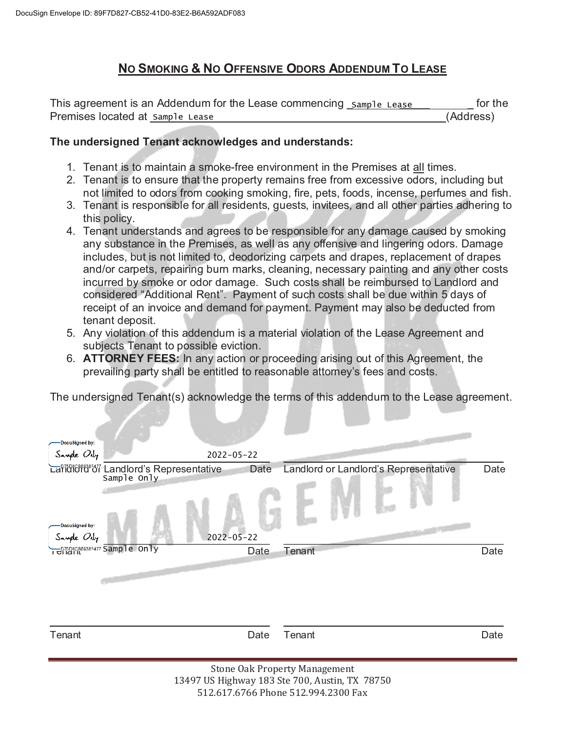# **NO SMOKING & NO OFFENSIVE ODORS ADDENDUM TO LEASE**

| This agreement is an Addendum for the Lease commencing sample Lease |           | for the |
|---------------------------------------------------------------------|-----------|---------|
| Premises located at sample Lease                                    | (Address) |         |

## **The undersigned Tenant acknowledges and understands:**

- 1. Tenant is to maintain a smoke-free environment in the Premises at all times.
- 2. Tenant is to ensure that the property remains free from excessive odors, including but not limited to odors from cooking smoking, fire, pets, foods, incense, perfumes and fish.
- 3. Tenant is responsible for all residents, guests, invitees, and all other parties adhering to this policy.
- 4. Tenant understands and agrees to be responsible for any damage caused by smoking any substance in the Premises, as well as any offensive and lingering odors. Damage includes, but is not limited to, deodorizing carpets and drapes, replacement of drapes and/or carpets, repairing burn marks, cleaning, necessary painting and any other costs incurred by smoke or odor damage. Such costs shall be reimbursed to Landlord and considered "Additional Rent". Payment of such costs shall be due within 5 days of receipt of an invoice and demand for payment. Payment may also be deducted from tenant deposit.
- 5. Any violation of this addendum is a material violation of the Lease Agreement and subjects Tenant to possible eviction.
- 6. **ATTORNEY FEES:** In any action or proceeding arising out of this Agreement, the prevailing party shall be entitled to reasonable attorney's fees and costs.

The undersigned Tenant(s) acknowledge the terms of this addendum to the Lease agreement.

| DocuSigned by:                |                                                                       |      |                                                |      |
|-------------------------------|-----------------------------------------------------------------------|------|------------------------------------------------|------|
| Sample Only                   | $2022 - 05 - 22$                                                      |      |                                                |      |
|                               | Landlord's Representative<br>Landlord's Representative<br>sample only | Date | Landlord or Landlord's Representative          | Date |
| DocuSigned by:<br>Sample Only | $2022 - 05 - 22$                                                      |      |                                                |      |
| $\Gamma$ P75D8CR8938F477      | Sample Only                                                           | Date | Tenant                                         | Date |
|                               |                                                                       |      |                                                |      |
| Tenant                        |                                                                       | Date | Tenant                                         | Date |
|                               |                                                                       |      | <b>Stone Oak Property Management</b>           |      |
|                               |                                                                       |      | 13497 US Highway 183 Ste 700. Austin. TX 78750 |      |

512.617.6766 Phone 512.994.2300 Fax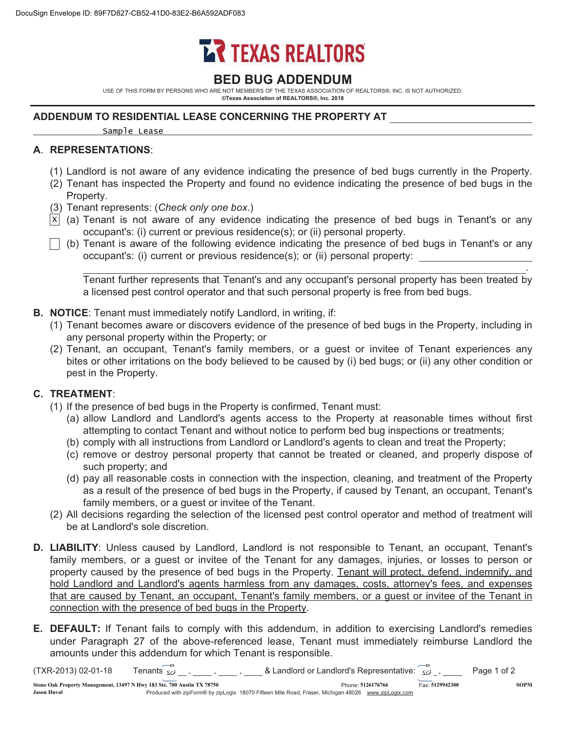

# **BED BUG ADDENDUM**

USE OF THIS FORM BY PERSONS WHO ARE NOT MEMBERS OF THE TEXAS ASSOCIATION OF REALTORS®, INC. IS NOT AUTHORIZED.

©Texas Association of REALTORS®, Inc. 2018

## ADDENDUM TO RESIDENTIAL LEASE CONCERNING THE PROPERTY AT

Sample Lease

## A. REPRESENTATIONS:

- (1) Landlord is not aware of any evidence indicating the presence of bed bugs currently in the Property.
- (2) Tenant has inspected the Property and found no evidence indicating the presence of bed bugs in the Property.
- (3) Tenant represents: (Check only one box.)
- $\overline{x}$  (a) Tenant is not aware of any evidence indicating the presence of bed bugs in Tenant's or any occupant's: (i) current or previous residence(s); or (ii) personal property.
- $\Box$  (b) Tenant is aware of the following evidence indicating the presence of bed bugs in Tenant's or any occupant's: (i) current or previous residence(s); or (ii) personal property:

Tenant further represents that Tenant's and any occupant's personal property has been treated by a licensed pest control operator and that such personal property is free from bed bugs.

- **B. NOTICE:** Tenant must immediately notify Landlord, in writing, if:
	- (1) Tenant becomes aware or discovers evidence of the presence of bed bugs in the Property, including in any personal property within the Property; or
	- (2) Tenant, an occupant, Tenant's family members, or a guest or invitee of Tenant experiences any bites or other irritations on the body believed to be caused by (i) bed bugs; or (ii) any other condition or pest in the Property.

## **C. TREATMENT:**

- (1) If the presence of bed bugs in the Property is confirmed, Tenant must:
	- (a) allow Landlord and Landlord's agents access to the Property at reasonable times without first attempting to contact Tenant and without notice to perform bed bug inspections or treatments;
	- (b) comply with all instructions from Landlord or Landlord's agents to clean and treat the Property;
	- (c) remove or destroy personal property that cannot be treated or cleaned, and properly dispose of such property; and
	- (d) pay all reasonable costs in connection with the inspection, cleaning, and treatment of the Property as a result of the presence of bed bugs in the Property, if caused by Tenant, an occupant, Tenant's family members, or a guest or invitee of the Tenant.
- (2) All decisions regarding the selection of the licensed pest control operator and method of treatment will be at Landlord's sole discretion.
- D. LIABILITY: Unless caused by Landlord, Landlord is not responsible to Tenant, an occupant, Tenant's family members, or a quest or invitee of the Tenant for any damages, injuries, or losses to person or property caused by the presence of bed bugs in the Property. Tenant will protect, defend, indemnify, and hold Landlord and Landlord's agents harmless from any damages, costs, attorney's fees, and expenses that are caused by Tenant, an occupant, Tenant's family members, or a quest or invitee of the Tenant in connection with the presence of bed bugs in the Property.
- **E. DEFAULT:** If Tenant fails to comply with this addendum, in addition to exercising Landlord's remedies under Paragraph 27 of the above-referenced lease, Tenant must immediately reimburse Landlord the amounts under this addendum for which Tenant is responsible.

(TXR-2013) 02-01-18 Tenants  $\overline{SO}$ \_\_ , \_\_\_\_ & Landlord or Landlord's Representative:  $\overline{s\omega}$  \_ , \_\_\_\_\_\_\_ Page 1 of 2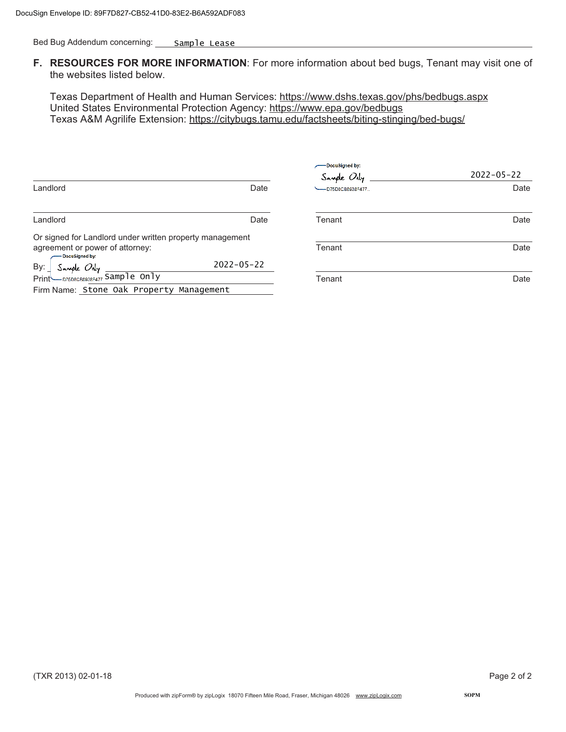Bed Bug Addendum concerning: Sample Lease

## F. RESOURCES FOR MORE INFORMATION: For more information about bed bugs, Tenant may visit one of the websites listed below.

Texas Department of Health and Human Services: https://www.dshs.texas.gov/phs/bedbugs.aspx United States Environmental Protection Agency: https://www.epa.gov/bedbugs Texas A&M Agrilife Extension: https://citybugs.tamu.edu/factsheets/biting-stinging/bed-bugs/

|                                                                                                               |                  | - DocuSigned by:<br>Sande Only | $2022 - 05 - 22$ |
|---------------------------------------------------------------------------------------------------------------|------------------|--------------------------------|------------------|
| Landlord                                                                                                      | Date             | -D75D8CB8938F477.              | Date             |
| Landlord                                                                                                      | Date             | Tenant                         | Date             |
| Or signed for Landlord under written property management<br>agreement or power of attorney:<br>DocuSigned by: |                  | Tenant                         | Date             |
| By:<br>Sample Only                                                                                            | $2022 - 05 - 22$ |                                |                  |
| Print PrepagasaF477 Sample Only<br>Firm Name: Stone Oak Property Management                                   |                  | Tenant                         | Date             |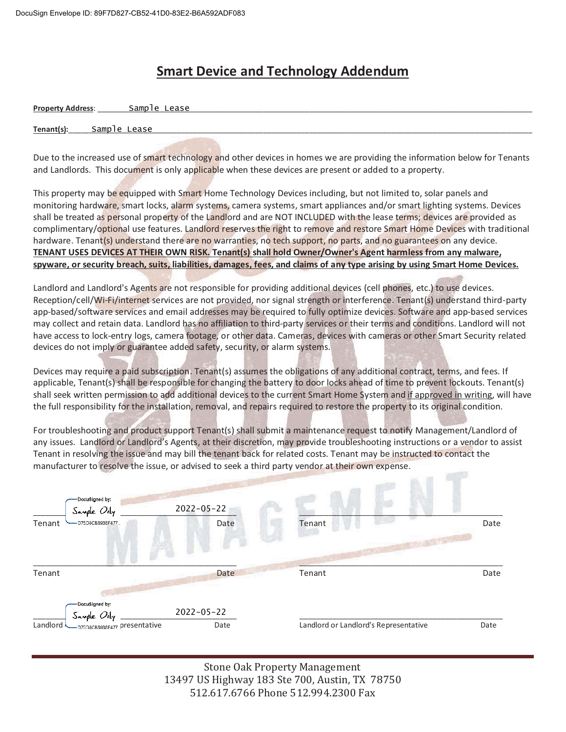# **Smart Device and Technology Addendum**

| <b>Property Address:</b> | Sample Lease |  |
|--------------------------|--------------|--|
| Tenant(s):               | Sample Lease |  |
|                          |              |  |

Due to the increased use of smart technology and other devices in homes we are providing the information below for Tenants and Landlords. This document is only applicable when these devices are present or added to a property.

This property may be equipped with Smart Home Technology Devices including, but not limited to, solar panels and monitoring hardware, smart locks, alarm systems, camera systems, smart appliances and/or smart lighting systems. Devices shall be treated as personal property of the Landlord and are NOT INCLUDED with the lease terms; devices are provided as complimentary/optional use features. Landlord reserves the right to remove and restore Smart Home Devices with traditional hardware. Tenant(s) understand there are no warranties, no tech support, no parts, and no guarantees on any device. **TENANT USES DEVICES AT THEIR OWN RISK. Tenant(s) shall hold Owner/Owner's Agent harmless from any malware, spyware, or security breach, suits, liabilities, damages, fees, and claims of any type arising by using Smart Home Devices.**

Landlord and Landlord's Agents are not responsible for providing additional devices (cell phones, etc.) to use devices. Reception/cell/Wi-Fi/internet services are not provided, nor signal strength or interference. Tenant(s) understand third-party app-based/software services and email addresses may be required to fully optimize devices. Software and app-based services may collect and retain data. Landlord has no affiliation to third-party services or their terms and conditions. Landlord will not have access to lock-entry logs, camera footage, or other data. Cameras, devices with cameras or other Smart Security related devices do not imply or guarantee added safety, security, or alarm systems.

Devices may require a paid subscription. Tenant(s) assumes the obligations of any additional contract, terms, and fees. If applicable, Tenant(s) shall be responsible for changing the battery to door locks ahead of time to prevent lockouts. Tenant(s) shall seek written permission to add additional devices to the current Smart Home System and if approved in writing, will have the full responsibility for the installation, removal, and repairs required to restore the property to its original condition.

For troubleshooting and product support Tenant(s) shall submit a maintenance request to notify Management/Landlord of any issues. Landlord or Landlord's Agents, at their discretion, may provide troubleshooting instructions or a vendor to assist Tenant in resolving the issue and may bill the tenant back for related costs. Tenant may be instructed to contact the manufacturer to resolve the issue, or advised to seek a third party vendor at their own expense.

| -DocuSigned by:<br>Sample Only<br>D75D8CB8938F477<br>Tenant                                                                                                                                           | $2022 - 05 - 22$<br>Date | Tenant                                | Date |
|-------------------------------------------------------------------------------------------------------------------------------------------------------------------------------------------------------|--------------------------|---------------------------------------|------|
| Tenant                                                                                                                                                                                                | Date                     | Tenant                                | Date |
| - DocuSigned by:<br>Sample Only<br>Landlord <a> Landlord</a> Landlord Landlord Landlord Landlord Landlord Landlord Landlord Landlord Landlord Landlord Landlord Landlord Landlord Landlord Landlord L | $2022 - 05 - 22$<br>Date | Landlord or Landlord's Representative | Date |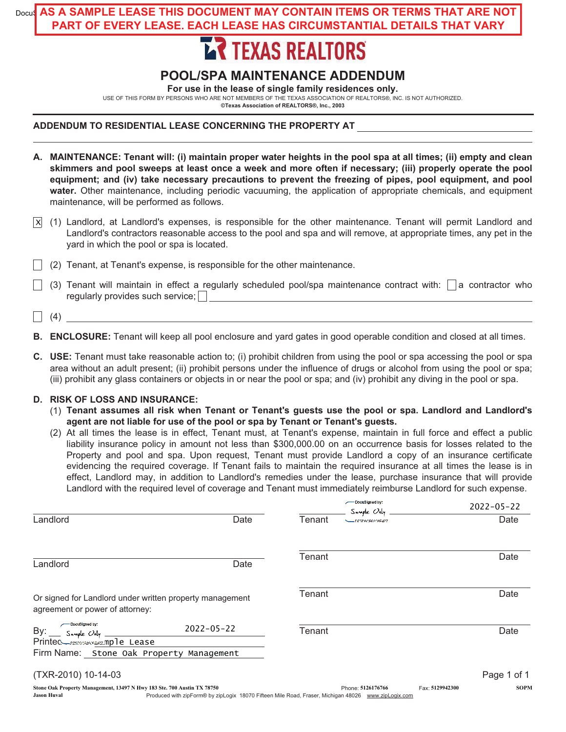#### **S A SAMPLE LEASE THIS DOCUMENT MAY CONTAIN ITEMS OR TERMS THAT ARE NOT** Docus PART OF EVERY LEASE. EACH LEASE HAS CIRCUMSTANTIAL DETAILS THAT VARY

# **LZ TEXAS REALTORS**

# POOL/SPA MAINTENANCE ADDENDUM

For use in the lease of single family residences only.

USE OF THIS FORM BY PERSONS WHO ARE NOT MEMBERS OF THE TEXAS ASSOCIATION OF REALTORS®, INC. IS NOT AUTHORIZED. ©Texas Association of REALTORS®, Inc., 2003

## ADDENDUM TO RESIDENTIAL LEASE CONCERNING THE PROPERTY AT

- A. MAINTENANCE: Tenant will: (i) maintain proper water heights in the pool spa at all times; (ii) empty and clean skimmers and pool sweeps at least once a week and more often if necessary; (iii) properly operate the pool equipment; and (iv) take necessary precautions to prevent the freezing of pipes, pool equipment, and pool water. Other maintenance, including periodic vacuuming, the application of appropriate chemicals, and equipment maintenance, will be performed as follows.
- (1) Landlord, at Landlord's expenses, is responsible for the other maintenance. Tenant will permit Landlord and Landlord's contractors reasonable access to the pool and spa and will remove, at appropriate times, any pet in the yard in which the pool or spa is located.
- (2) Tenant, at Tenant's expense, is responsible for the other maintenance.
- (3) Tenant will maintain in effect a regularly scheduled pool/spa maintenance contract with:  $\Box$  a contractor who regularly provides such service;
- $(4)$
- B. ENCLOSURE: Tenant will keep all pool enclosure and yard gates in good operable condition and closed at all times.
- C. USE: Tenant must take reasonable action to; (i) prohibit children from using the pool or spa accessing the pool or spa area without an adult present; (ii) prohibit persons under the influence of drugs or alcohol from using the pool or spa; (iii) prohibit any glass containers or objects in or near the pool or spa; and (iv) prohibit any diving in the pool or spa.

## **D. RISK OF LOSS AND INSURANCE:**

- (1) Tenant assumes all risk when Tenant or Tenant's guests use the pool or spa. Landlord and Landlord's agent are not liable for use of the pool or spa by Tenant or Tenant's guests.
- (2) At all times the lease is in effect, Tenant must, at Tenant's expense, maintain in full force and effect a public liability insurance policy in amount not less than \$300,000,00 on an occurrence basis for losses related to the Property and pool and spa. Upon request, Tenant must provide Landlord a copy of an insurance certificate evidencing the required coverage. If Tenant fails to maintain the required insurance at all times the lease is in effect, Landlord may, in addition to Landlord's remedies under the lease, purchase insurance that will provide Landlord with the required level of coverage and Tenant must immediately reimburse Landlord for such expense.

|                                                                                                                                                       |                  | <b>DOMANINA PX.</b><br>Sample Only | $2022 - 05 - 22$ |
|-------------------------------------------------------------------------------------------------------------------------------------------------------|------------------|------------------------------------|------------------|
| Landlord                                                                                                                                              | Date             | Tenant<br>D75DecResseF477          | Date             |
| Landlord                                                                                                                                              | Date             | Tenant                             | Date             |
| Or signed for Landlord under written property management<br>agreement or power of attorney:                                                           |                  | Tenant                             | Date             |
| - DocuSigned by:<br>$\mathsf{By:}$ Sample $\mathcal{O}_{\mathsf{alg}}$<br>Printec-resonances and le Lease<br>Firm Name: Stone Oak Property Management | $2022 - 05 - 22$ | Tenant                             | Date             |
| (TXR-2010) 10-14-03                                                                                                                                   |                  |                                    | Page 1 of 1      |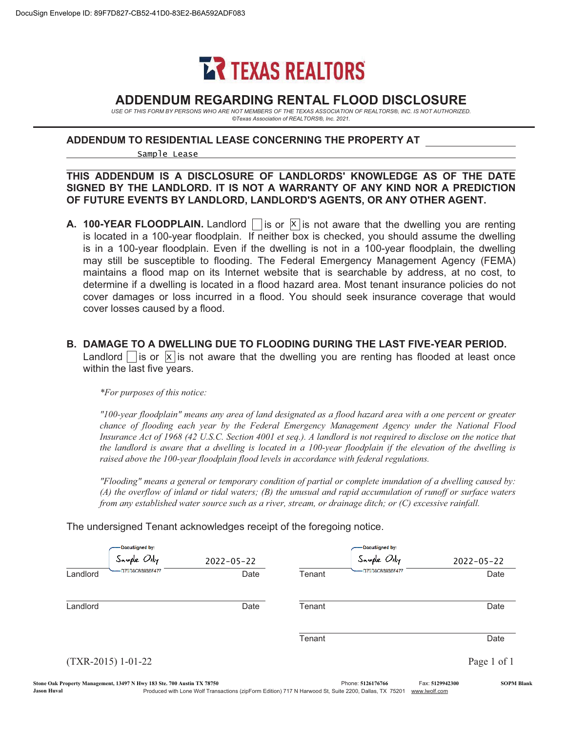

## ADDENDUM REGARDING RENTAL FLOOD DISCLOSURE

USE OF THIS FORM BY PERSONS WHO ARE NOT MEMBERS OF THE TEXAS ASSOCIATION OF REALTORS®, INC. IS NOT AUTHORIZED. ©Texas Association of REALTORS® Inc. 2021

ADDENDUM TO RESIDENTIAL LEASE CONCERNING THE PROPERTY AT

Sample Lease

## THIS ADDENDUM IS A DISCLOSURE OF LANDLORDS' KNOWLEDGE AS OF THE DATE SIGNED BY THE LANDLORD. IT IS NOT A WARRANTY OF ANY KIND NOR A PREDICTION OF FUTURE EVENTS BY LANDLORD, LANDLORD'S AGENTS, OR ANY OTHER AGENT.

- A. 100-YEAR FLOODPLAIN. Landlord  $\Box$  is or  $\overline{X}$  is not aware that the dwelling you are renting is located in a 100-year floodplain. If neither box is checked, you should assume the dwelling is in a 100-year floodplain. Even if the dwelling is not in a 100-year floodplain, the dwelling may still be susceptible to flooding. The Federal Emergency Management Agency (FEMA) maintains a flood map on its Internet website that is searchable by address, at no cost, to determine if a dwelling is located in a flood hazard area. Most tenant insurance policies do not cover damages or loss incurred in a flood. You should seek insurance coverage that would cover losses caused by a flood.
- **B. DAMAGE TO A DWELLING DUE TO FLOODING DURING THE LAST FIVE-YEAR PERIOD.**

Landlord  $\Box$  is or  $\vert x \vert$  is not aware that the dwelling you are renting has flooded at least once within the last five years.

\*For purposes of this notice:

"100-year floodplain" means any area of land designated as a flood hazard area with a one percent or greater chance of flooding each year by the Federal Emergency Management Agency under the National Flood Insurance Act of 1968 (42 U.S.C. Section 4001 et seg.). A landlord is not required to disclose on the notice that the landlord is aware that a dwelling is located in a 100-year floodplain if the elevation of the dwelling is raised above the 100-vear floodplain flood levels in accordance with federal regulations.

"Flooding" means a general or temporary condition of partial or complete inundation of a dwelling caused by:  $(A)$  the overflow of inland or tidal waters;  $(B)$  the unusual and rapid accumulation of runoff or surface waters from any established water source such as a river, stream, or drainage ditch; or (C) excessive rainfall.

The undersigned Tenant acknowledges receipt of the foregoing notice.

| DocuSigned by:                                                |                  |        | -DocuSigned by:   |                 |                   |
|---------------------------------------------------------------|------------------|--------|-------------------|-----------------|-------------------|
| $Sample$ $Ohy$                                                | $2022 - 05 - 22$ |        | Sample Only       |                 | $2022 - 05 - 22$  |
| $-$ D75D8CB8938F477<br>Landlord                               | Date             | Tenant | D75D8CB3938F477   |                 | Date              |
| Landlord                                                      | Date             | Tenant |                   |                 | Date              |
|                                                               |                  | Tenant |                   |                 | Date              |
| $(TXR-2015)$ 1-01-22                                          |                  |        |                   |                 | Page 1 of 1       |
| Property Management, 13497 N Hwy 183 Ste. 700 Austin TX 78750 |                  |        | Phone: 5126176766 | Fax: 5129942300 | <b>SOPM Blank</b> |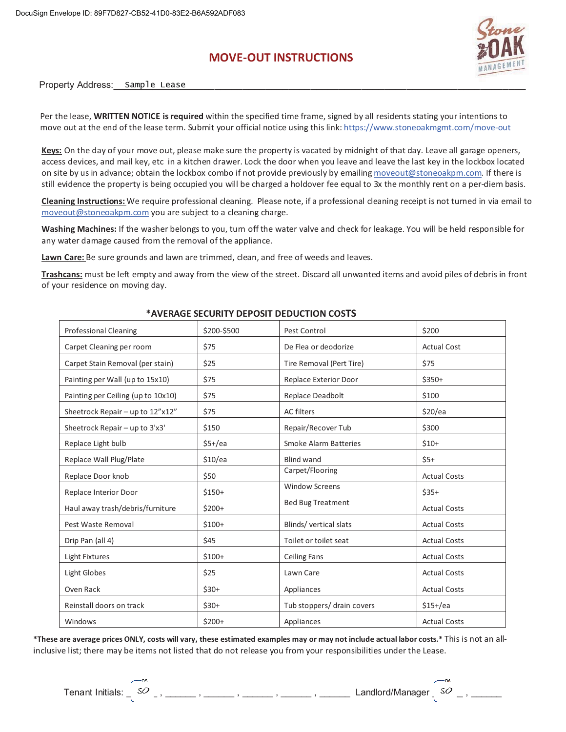# **MOVE-OUT INSTRUCTIONS**



Property Address:\_\_\_\_\_\_\_\_\_\_\_\_\_\_\_\_\_\_\_\_\_\_\_\_\_\_\_\_\_\_\_\_\_\_\_\_\_\_\_\_\_\_\_\_\_\_\_\_\_\_\_\_\_\_\_\_\_\_\_\_\_\_\_\_\_\_\_\_\_\_\_\_\_  

Per the lease, **WRITTEN NOTICE is required** within the specified time frame, signed by all residents stating your intentions to move out at the end of the lease term. Submit your official notice using this link: https://www.stoneoakmgmt.com/move-out

**Keys:** On the day of your move out, please make sure the property is vacated by midnight of that day. Leave all garage openers, access devices, and mail key, etc in a kitchen drawer. Lock the door when you leave and leave the last key in the lockbox located on site by us in advance; obtain the lockbox combo if not provide previously by emailing moveout@stoneoakpm.com. If there is still evidence the property is being occupied you will be charged a holdover fee equal to 3x the monthly rent on a per-diem basis.

**Cleaning Instructions:** We require professional cleaning. Please note, if a professional cleaning receipt is not turned in via email to moveout@stoneoakpm.com you are subject to a cleaning charge.

**Washing Machines:** If the washer belongs to you, turn off the water valve and check for leakage. You will be held responsible for any water damage caused from the removal of the appliance.

**Lawn Care:** Be sure grounds and lawn are trimmed, clean, and free of weeds and leaves.

**Trashcans:** must be left empty and away from the view of the street. Discard all unwanted items and avoid piles of debris in front of your residence on moving day.

| <b>Professional Cleaning</b>       | \$200-\$500 | Pest Control                 | \$200               |
|------------------------------------|-------------|------------------------------|---------------------|
| Carpet Cleaning per room           | \$75        | De Flea or deodorize         | <b>Actual Cost</b>  |
| Carpet Stain Removal (per stain)   | \$25        | Tire Removal (Pert Tire)     | \$75                |
| Painting per Wall (up to 15x10)    | \$75        | Replace Exterior Door        | $$350+$             |
| Painting per Ceiling (up to 10x10) | \$75        | Replace Deadbolt             | \$100               |
| Sheetrock Repair - up to 12"x12"   | \$75        | <b>AC filters</b>            | \$20/ea             |
| Sheetrock Repair - up to 3'x3'     | \$150       | Repair/Recover Tub           | \$300               |
| Replace Light bulb                 | $$5+/ea$    | <b>Smoke Alarm Batteries</b> | $$10+$              |
| Replace Wall Plug/Plate            | \$10/ea     | <b>Blind wand</b>            | $$5+$               |
| Replace Door knob                  | \$50        | Carpet/Flooring              | <b>Actual Costs</b> |
| Replace Interior Door              | $$150+$     | <b>Window Screens</b>        | $$35+$              |
| Haul away trash/debris/furniture   | $$200+$     | <b>Bed Bug Treatment</b>     | <b>Actual Costs</b> |
| Pest Waste Removal                 | $$100+$     | Blinds/ vertical slats       | <b>Actual Costs</b> |
| Drip Pan (all 4)                   | \$45        | Toilet or toilet seat        | <b>Actual Costs</b> |
| Light Fixtures                     | $$100+$     | <b>Ceiling Fans</b>          | <b>Actual Costs</b> |
| Light Globes                       | \$25        | Lawn Care                    | <b>Actual Costs</b> |
| Oven Rack                          | $$30+$      | Appliances                   | <b>Actual Costs</b> |
| Reinstall doors on track           | $$30+$      | Tub stoppers/ drain covers   | $$15 + /ea$         |
| Windows                            | $$200+$     | Appliances                   | <b>Actual Costs</b> |

### **\*AVERAGE SECURITY DEPOSIT DEDUCTION COSTS**

**\*These are average prices ONLY, costs will vary, these estimated examples may or may not include actual labor costs.\*** This is not an allinclusive list; there may be items not listed that do not release you from your responsibilities under the Lease.

Tenant Initials: \_\_\_\_\_\_ , \_\_\_\_\_\_ , \_\_\_\_\_\_ , \_\_\_\_\_\_ , \_\_\_\_\_\_ , \_\_\_\_\_\_ Landlord/Manager \_\_\_\_\_\_ , \_\_\_\_\_\_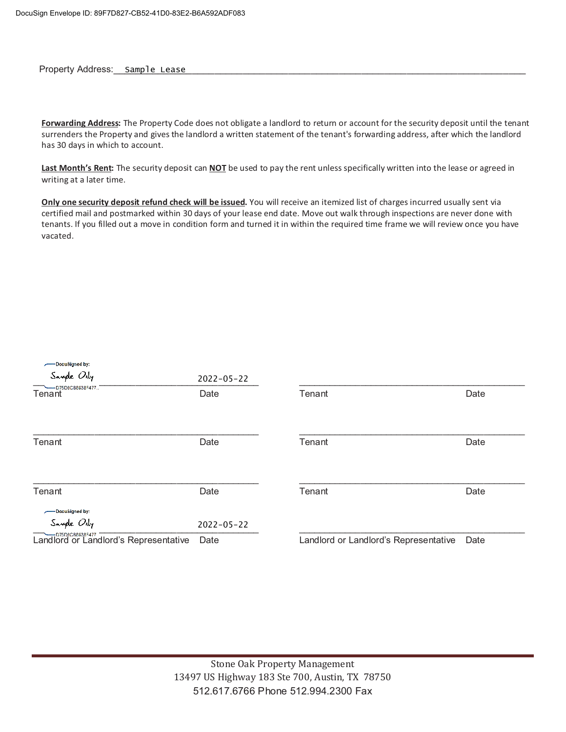Property Address:\_\_\_\_\_\_\_\_\_\_\_\_\_\_\_\_\_\_\_\_\_\_\_\_\_\_\_\_\_\_\_\_\_\_\_\_\_\_\_\_\_\_\_\_\_\_\_\_\_\_\_\_\_\_\_\_\_\_\_\_\_\_\_\_\_\_\_\_\_\_\_\_\_  

**Forwarding Address:** The Property Code does not obligate a landlord to return or account for the security deposit until the tenant surrenders the Property and gives the landlord a written statement of the tenant's forwarding address, after which the landlord has 30 days in which to account.

**Last Month's Rent:** The security deposit can **NOT** be used to pay the rent unless specifically written into the lease or agreed in writing at a later time.

**Only one security deposit refund check will be issued.** You will receive an itemized list of charges incurred usually sent via certified mail and postmarked within 30 days of your lease end date. Move out walk through inspections are never done with tenants. If you filled out a move in condition form and turned it in within the required time frame we will review once you have vacated.

| DocuSigned by:                                            |                  |                                       |      |
|-----------------------------------------------------------|------------------|---------------------------------------|------|
| Sample Only                                               | $2022 - 05 - 22$ |                                       |      |
| -D75D8CB8938F477<br>Tenant                                | Date             | Tenant                                | Date |
|                                                           |                  |                                       |      |
| Tenant                                                    | Date             | Tenant                                | Date |
|                                                           |                  |                                       |      |
| Tenant                                                    | Date             | Tenant                                | Date |
| DocuSigned by:                                            |                  |                                       |      |
| Sample Only                                               | $2022 - 05 - 22$ |                                       |      |
| -D75D8CB8938F477<br>Landlord or Landlord's Representative | Date             | Landlord or Landlord's Representative | Date |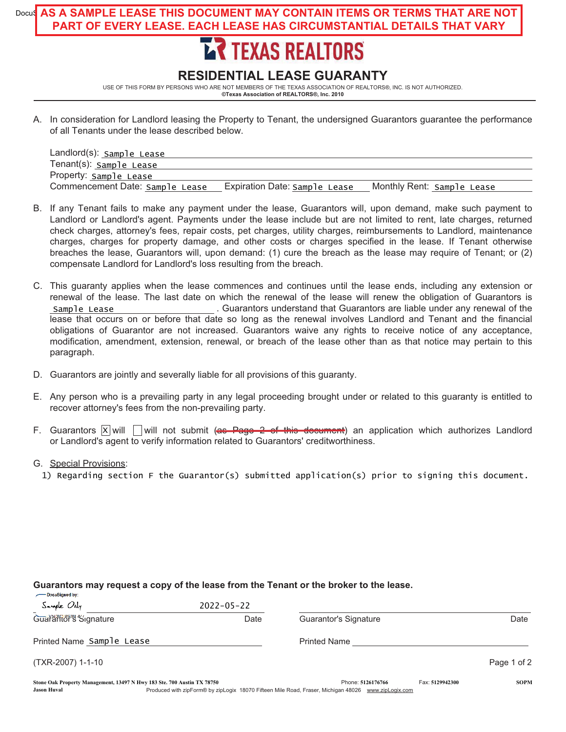# Docus AS A SAMPLE LEASE THIS DOCUMENT MAY CONTAIN ITEMS OR TERMS THAT ARE NOT PART OF EVERY LEASE. EACH LEASE HAS CIRCUMSTANTIAL DETAILS THAT VARY

# **LY TEXAS REALTORS**

## **RESIDENTIAL LEASE GUARANTY**

USE OF THIS FORM BY PERSONS WHO ARE NOT MEMBERS OF THE TEXAS ASSOCIATION OF REALTORS®, INC. IS NOT AUTHORIZED. ©Texas Association of REALTORS®, Inc. 2010

A. In consideration for Landlord leasing the Property to Tenant, the undersigned Guarantors guarantee the performance of all Tenants under the lease described below.

| Landlord(s): <u>Sample Lease</u> |                               |                            |
|----------------------------------|-------------------------------|----------------------------|
| Tenant(s): Sample Lease          |                               |                            |
| Property: Sample Lease           |                               |                            |
| Commencement Date: Sample Lease  | Expiration Date: Sample Lease | Monthly Rent: sample Lease |

- B. If any Tenant fails to make any payment under the lease, Guarantors will, upon demand, make such payment to Landlord or Landlord's agent. Payments under the lease include but are not limited to rent, late charges, returned check charges, attorney's fees, repair costs, pet charges, utility charges, reimbursements to Landlord, maintenance charges, charges for property damage, and other costs or charges specified in the lease. If Tenant otherwise breaches the lease, Guarantors will, upon demand: (1) cure the breach as the lease may require of Tenant; or (2) compensate Landlord for Landlord's loss resulting from the breach.
- C. This guaranty applies when the lease commences and continues until the lease ends, including any extension or renewal of the lease. The last date on which the renewal of the lease will renew the obligation of Guarantors is Sample Lease . Guarantors understand that Guarantors are liable under any renewal of the lease that occurs on or before that date so long as the renewal involves Landlord and Tenant and the financial obligations of Guarantor are not increased. Guarantors waive any rights to receive notice of any acceptance, modification, amendment, extension, renewal, or breach of the lease other than as that notice may pertain to this paragraph.
- D. Guarantors are jointly and severally liable for all provisions of this guaranty.
- E. Any person who is a prevailing party in any legal proceeding brought under or related to this guaranty is entitled to recover attorney's fees from the non-prevailing party.
- F. Guarantors  $\overline{X}$  will  $\Box$  will not submit (as Page 2 of this document) an application which authorizes Landlord or Landlord's agent to verify information related to Guarantors' creditworthiness.

## G. Special Provisions:

- DocuSigned by:

1) Regarding section F the Guarantor(s) submitted application(s) prior to signing this document.

| Sample Only           |                                                                         | $2022 - 05 - 22$ |      |                                                                                                                          |                 |             |
|-----------------------|-------------------------------------------------------------------------|------------------|------|--------------------------------------------------------------------------------------------------------------------------|-----------------|-------------|
| Guarantor's Signature |                                                                         |                  | Date | <b>Guarantor's Signature</b>                                                                                             |                 | Date        |
|                       | Printed Name Sample Lease                                               |                  |      | <b>Printed Name</b>                                                                                                      |                 |             |
| (TXR-2007) 1-1-10     |                                                                         |                  |      |                                                                                                                          |                 | Page 1 of 2 |
| <b>Jason Huval</b>    | Stone Oak Property Management, 13497 N Hwy 183 Ste. 700 Austin TX 78750 |                  |      | Phone: 5126176766<br>Produced with zipForm® by zipLogix 18070 Fifteen Mile Road, Fraser, Michigan 48026 www.zipLogix.com | Fax: 5129942300 | <b>SOPM</b> |

## Guarantors may request a copy of the lease from the Tenant or the broker to the lease.